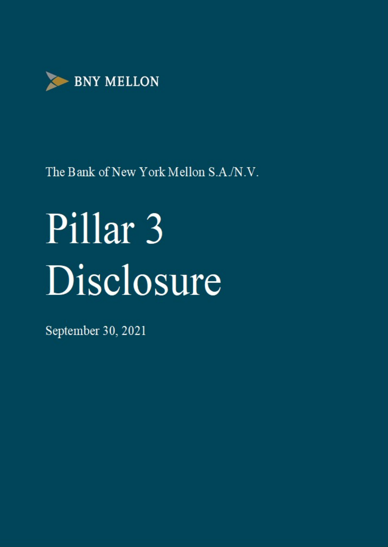

# Pillar<sub>3</sub> Disclosure

September 30, 2021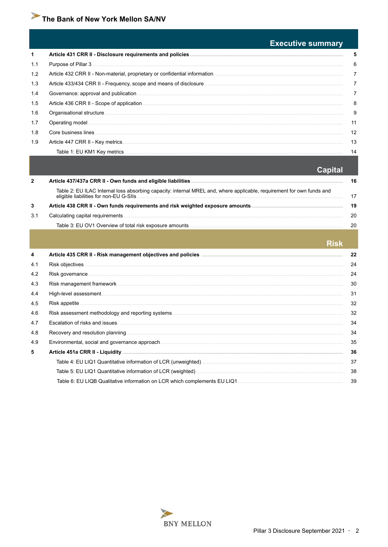#### **Executive summary**  $\mathbf{1}$ Article 431 CRR II - Disclosure requirements and policies.... Purpose of Pillar 3  $1.1$  $1.2$ Article 432 CRR II - Non-material, proprietary or confidential information.  $1.3$ Article 433/434 CRR II - Frequency, scope and means of disclosure.  $1.4$ Governance: approval and publication.  $1.5$  $1.6$ Organisational structure.  $1.7$ Operating model  $1.8$ Core business lines Article 447 CRR II - Key metrics... 1.9 Table 1: EU KM1 Key metrics

#### **Capital**

 ${\bf 5}$ 

 $6\overline{6}$ 

 $\overline{7}$ 

 $\overline{7}$ 

 $\overline{7}$ 

8

9

 $11$ 

 $12$ 

13

 $14$ 

|     |                                                                                                                       | 16 |
|-----|-----------------------------------------------------------------------------------------------------------------------|----|
|     | Table 2: EU ILAC Internal loss absorbing capacity: internal MREL and, where applicable, requirement for own funds and |    |
| 3   |                                                                                                                       | 19 |
| 3.1 | Calculating capital requirements.                                                                                     | 20 |
|     |                                                                                                                       |    |
|     |                                                                                                                       |    |
|     |                                                                                                                       |    |

| INDN |
|------|
| 22   |
| 24   |
| 24   |
| 30   |
| 31   |
| 32   |
| 32   |
| 34   |
| 34   |
| 35   |
| 36   |
| 37   |
| 38   |
| 39   |
|      |

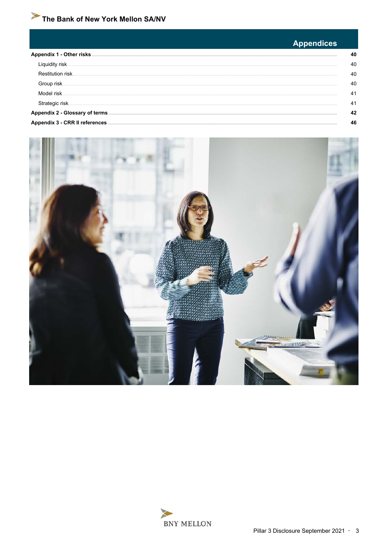#### <span id="page-2-0"></span>**Appendices** Appendix 1 - Other risks.... 40 Liquidity risk. 40 Restitution risk. 40 Group risk 40 Model risk  $41$ Strategic risk. 41 42 Appendix 3 - CRR II references. 46



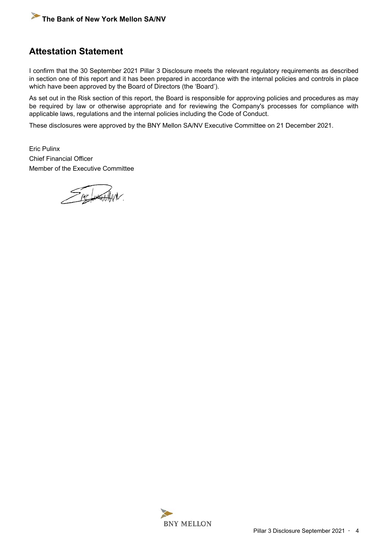# **Attestation Statement**

I confirm that the 30 September 2021 Pillar 3 Disclosure meets the relevant regulatory requirements as described in section one of this report and it has been prepared in accordance with the internal policies and controls in place which have been approved by the Board of Directors (the 'Board').

As set out in the Risk section of this report, the Board is responsible for approving policies and procedures as may be required by law or otherwise appropriate and for reviewing the Company's processes for compliance with applicable laws, regulations and the internal policies including the Code of Conduct.

These disclosures were approved by the BNY Mellon SA/NV Executive Committee on 21 December 2021.

Eric Pulinx Chief Financial Officer Member of the Executive Committee

Frie June AMV.

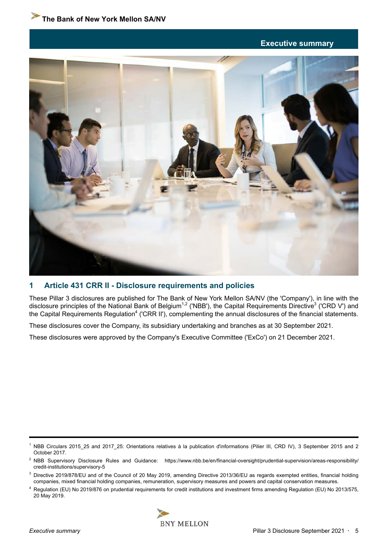#### **Executive summary**

<span id="page-4-0"></span>

#### **1 Article 431 CRR II - Disclosure requirements and policies**

These Pillar 3 disclosures are published for The Bank of New York Mellon SA/NV (the 'Company'), in line with the disclosure principles of the National Bank of Belgium<sup>1,2</sup> ('NBB'), the Capital Requirements Directive<sup>3</sup> ('CRD V') and the Capital Requirements Regulation<sup>4</sup> ('CRR II'), complementing the annual disclosures of the financial statements.

These disclosures cover the Company, its subsidiary undertaking and branches as at 30 September 2021.

These disclosures were approved by the Company's Executive Committee ('ExCo') on 21 December 2021.

<sup>4</sup> Regulation (EU) No 2019/876 on prudential requirements for credit institutions and investment firms amending Regulation (EU) No 2013/575, 20 May 2019.



<sup>1</sup> NBB Circulars 2015\_25 and 2017\_25: Orientations relatives à la publication d'informations (Pilier III, CRD IV), 3 September 2015 and 2 October 2017.

<sup>&</sup>lt;sup>2</sup> NBB Supervisory Disclosure Rules and Guidance: https://www.nbb.be/en/financial-oversight/prudential-supervision/areas-responsibility/ credit-institutions/supervisory-5

<sup>&</sup>lt;sup>3</sup> Directive 2019/878/EU and of the Council of 20 May 2019, amending Directive 2013/36/EU as regards exempted entities, financial holding companies, mixed financial holding companies, remuneration, supervisory measures and powers and capital conservation measures.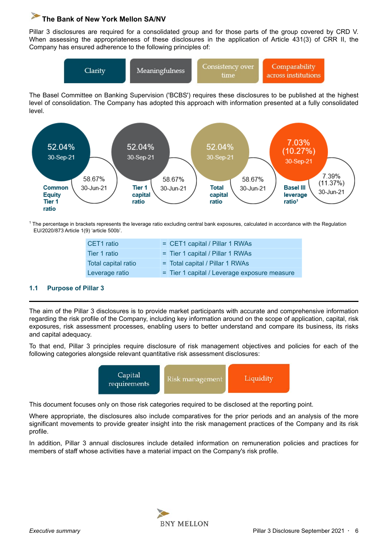<span id="page-5-0"></span>Pillar 3 disclosures are required for a consolidated group and for those parts of the group covered by CRD V. When assessing the appropriateness of these disclosures in the application of Article 431(3) of CRR II, the Company has ensured adherence to the following principles of:



The Basel Committee on Banking Supervision ('BCBS') requires these disclosures to be published at the highest level of consolidation. The Company has adopted this approach with information presented at a fully consolidated level.



<sup>1</sup> The percentage in brackets represents the leverage ratio excluding central bank exposures, calculated in accordance with the Regulation EU/2020/873 Article 1(9) 'article 500b'.

| CET1 ratio          | = CET1 capital / Pillar 1 RWAs               |
|---------------------|----------------------------------------------|
| Tier 1 ratio        | = Tier 1 capital / Pillar 1 RWAs             |
| Total capital ratio | = Total capital / Pillar 1 RWAs              |
| Leverage ratio      | = Tier 1 capital / Leverage exposure measure |

#### **1.1 Purpose of Pillar 3**

The aim of the Pillar 3 disclosures is to provide market participants with accurate and comprehensive information regarding the risk profile of the Company, including key information around on the scope of application, capital, risk exposures, risk assessment processes, enabling users to better understand and compare its business, its risks and capital adequacy.

To that end, Pillar 3 principles require disclosure of risk management objectives and policies for each of the following categories alongside relevant quantitative risk assessment disclosures:



This document focuses only on those risk categories required to be disclosed at the reporting point.

Where appropriate, the disclosures also include comparatives for the prior periods and an analysis of the more significant movements to provide greater insight into the risk management practices of the Company and its risk profile.

In addition, Pillar 3 annual disclosures include detailed information on remuneration policies and practices for members of staff whose activities have a material impact on the Company's risk profile.

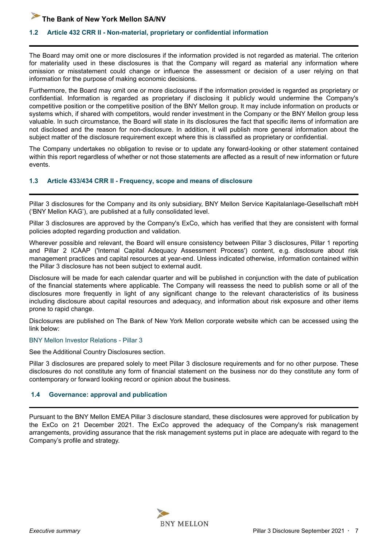#### <span id="page-6-0"></span>**1.2 Article 432 CRR II - Non-material, proprietary or confidential information**

The Board may omit one or more disclosures if the information provided is not regarded as material. The criterion for materiality used in these disclosures is that the Company will regard as material any information where omission or misstatement could change or influence the assessment or decision of a user relying on that information for the purpose of making economic decisions.

Furthermore, the Board may omit one or more disclosures if the information provided is regarded as proprietary or confidential. Information is regarded as proprietary if disclosing it publicly would undermine the Company's competitive position or the competitive position of the BNY Mellon group. It may include information on products or systems which, if shared with competitors, would render investment in the Company or the BNY Mellon group less valuable. In such circumstance, the Board will state in its disclosures the fact that specific items of information are not disclosed and the reason for non-disclosure. In addition, it will publish more general information about the subject matter of the disclosure requirement except where this is classified as proprietary or confidential.

The Company undertakes no obligation to revise or to update any forward-looking or other statement contained within this report regardless of whether or not those statements are affected as a result of new information or future events.

#### **1.3 Article 433/434 CRR II - Frequency, scope and means of disclosure**

Pillar 3 disclosures for the Company and its only subsidiary, BNY Mellon Service Kapitalanlage-Gesellschaft mbH ('BNY Mellon KAG'), are published at a fully consolidated level.

Pillar 3 disclosures are approved by the Company's ExCo, which has verified that they are consistent with formal policies adopted regarding production and validation.

Wherever possible and relevant, the Board will ensure consistency between Pillar 3 disclosures, Pillar 1 reporting and Pillar 2 ICAAP ('Internal Capital Adequacy Assessment Process') content, e.g. disclosure about risk management practices and capital resources at year-end. Unless indicated otherwise, information contained within the Pillar 3 disclosure has not been subject to external audit.

Disclosure will be made for each calendar quarter and will be published in conjunction with the date of publication of the financial statements where applicable. The Company will reassess the need to publish some or all of the disclosures more frequently in light of any significant change to the relevant characteristics of its business including disclosure about capital resources and adequacy, and information about risk exposure and other items prone to rapid change.

Disclosures are published on The Bank of New York Mellon corporate website which can be accessed using the link below:

#### [BNY Mellon Investor Relations - Pillar 3](https://www.bnymellon.com/us/en/investor-relations/regulatory-filings.html#other_regulatory)

See the Additional Country Disclosures section.

Pillar 3 disclosures are prepared solely to meet Pillar 3 disclosure requirements and for no other purpose. These disclosures do not constitute any form of financial statement on the business nor do they constitute any form of contemporary or forward looking record or opinion about the business.

#### **1.4 Governance: approval and publication**

Pursuant to the BNY Mellon EMEA Pillar 3 disclosure standard, these disclosures were approved for publication by the ExCo on 21 December 2021. The ExCo approved the adequacy of the Company's risk management arrangements, providing assurance that the risk management systems put in place are adequate with regard to the Company's profile and strategy.

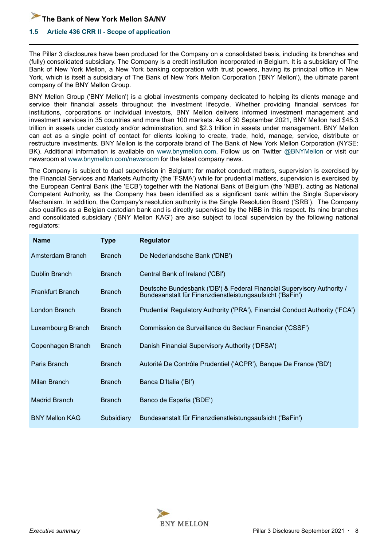<span id="page-7-0"></span>

#### **1.5 Article 436 CRR II - Scope of application**

The Pillar 3 disclosures have been produced for the Company on a consolidated basis, including its branches and (fully) consolidated subsidiary. The Company is a credit institution incorporated in Belgium. It is a subsidiary of The Bank of New York Mellon, a New York banking corporation with trust powers, having its principal office in New York, which is itself a subsidiary of The Bank of New York Mellon Corporation ('BNY Mellon'), the ultimate parent company of the BNY Mellon Group.

BNY Mellon Group ('BNY Mellon') is a global investments company dedicated to helping its clients manage and service their financial assets throughout the investment lifecycle. Whether providing financial services for institutions, corporations or individual investors, BNY Mellon delivers informed investment management and investment services in 35 countries and more than 100 markets. As of 30 September 2021, BNY Mellon had \$45.3 trillion in assets under custody and/or administration, and \$2.3 trillion in assets under management. BNY Mellon can act as a single point of contact for clients looking to create, trade, hold, manage, service, distribute or restructure investments. BNY Mellon is the corporate brand of The Bank of New York Mellon Corporation (NYSE: BK). Additional information is available on www.bnymellon.com. Follow us on Twitter @BNYMellon or visit our newsroom at www.bnymellon.com/newsroom for the latest company news.

The Company is subject to dual supervision in Belgium: for market conduct matters, supervision is exercised by the Financial Services and Markets Authority (the 'FSMA') while for prudential matters, supervision is exercised by the European Central Bank (the 'ECB') together with the National Bank of Belgium (the 'NBB'), acting as National Competent Authority, as the Company has been identified as a significant bank within the Single Supervisory Mechanism. In addition, the Company's resolution authority is the Single Resolution Board ('SRB'). The Company also qualifies as a Belgian custodian bank and is directly supervised by the NBB in this respect. Its nine branches and consolidated subsidiary ('BNY Mellon KAG') are also subject to local supervision by the following national regulators:

| <b>Name</b>             | <b>Type</b>   | <b>Regulator</b>                                                                                                                    |
|-------------------------|---------------|-------------------------------------------------------------------------------------------------------------------------------------|
| Amsterdam Branch        | <b>Branch</b> | De Nederlandsche Bank ('DNB')                                                                                                       |
| Dublin Branch           | <b>Branch</b> | Central Bank of Ireland ('CBI')                                                                                                     |
| <b>Frankfurt Branch</b> | <b>Branch</b> | Deutsche Bundesbank ('DB') & Federal Financial Supervisory Authority /<br>Bundesanstalt für Finanzdienstleistungsaufsicht ('BaFin') |
| London Branch           | <b>Branch</b> | Prudential Regulatory Authority ('PRA'), Financial Conduct Authority ('FCA')                                                        |
| Luxembourg Branch       | <b>Branch</b> | Commission de Surveillance du Secteur Financier ('CSSF')                                                                            |
| Copenhagen Branch       | <b>Branch</b> | Danish Financial Supervisory Authority ('DFSA')                                                                                     |
| Paris Branch            | <b>Branch</b> | Autorité De Contrôle Prudentiel ('ACPR'), Banque De France ('BD')                                                                   |
| Milan Branch            | <b>Branch</b> | Banca D'Italia ('Bl')                                                                                                               |
| <b>Madrid Branch</b>    | <b>Branch</b> | Banco de España ('BDE')                                                                                                             |
| <b>BNY Mellon KAG</b>   | Subsidiary    | Bundesanstalt für Finanzdienstleistungsaufsicht ('BaFin')                                                                           |

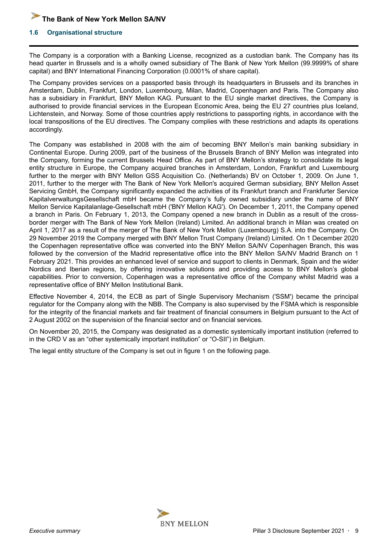#### <span id="page-8-0"></span>**1.6 Organisational structure**

The Company is a corporation with a Banking License, recognized as a custodian bank. The Company has its head quarter in Brussels and is a wholly owned subsidiary of The Bank of New York Mellon (99.9999% of share capital) and BNY International Financing Corporation (0.0001% of share capital).

The Company provides services on a passported basis through its headquarters in Brussels and its branches in Amsterdam, Dublin, Frankfurt, London, Luxembourg, Milan, Madrid, Copenhagen and Paris. The Company also has a subsidiary in Frankfurt, BNY Mellon KAG. Pursuant to the EU single market directives, the Company is authorised to provide financial services in the European Economic Area, being the EU 27 countries plus Iceland, Lichtenstein, and Norway. Some of those countries apply restrictions to passporting rights, in accordance with the local transpositions of the EU directives. The Company complies with these restrictions and adapts its operations accordingly.

The Company was established in 2008 with the aim of becoming BNY Mellon's main banking subsidiary in Continental Europe. During 2009, part of the business of the Brussels Branch of BNY Mellon was integrated into the Company, forming the current Brussels Head Office. As part of BNY Mellon's strategy to consolidate its legal entity structure in Europe, the Company acquired branches in Amsterdam, London, Frankfurt and Luxembourg further to the merger with BNY Mellon GSS Acquisition Co. (Netherlands) BV on October 1, 2009. On June 1, 2011, further to the merger with The Bank of New York Mellon's acquired German subsidiary, BNY Mellon Asset Servicing GmbH, the Company significantly expanded the activities of its Frankfurt branch and Frankfurter Service KapitalverwaltungsGesellschaft mbH became the Company's fully owned subsidiary under the name of BNY Mellon Service Kapitalanlage-Gesellschaft mbH ('BNY Mellon KAG'). On December 1, 2011, the Company opened a branch in Paris. On February 1, 2013, the Company opened a new branch in Dublin as a result of the crossborder merger with The Bank of New York Mellon (Ireland) Limited. An additional branch in Milan was created on April 1, 2017 as a result of the merger of The Bank of New York Mellon (Luxembourg) S.A. into the Company. On 29 November 2019 the Company merged with BNY Mellon Trust Company (Ireland) Limited. On 1 December 2020 the Copenhagen representative office was converted into the BNY Mellon SA/NV Copenhagen Branch, this was followed by the conversion of the Madrid representative office into the BNY Mellon SA/NV Madrid Branch on 1 February 2021. This provides an enhanced level of service and support to clients in Denmark, Spain and the wider Nordics and Iberian regions, by offering innovative solutions and providing access to BNY Mellon's global capabilities. Prior to conversion, Copenhagen was a representative office of the Company whilst Madrid was a representative office of BNY Mellon Institutional Bank.

Effective November 4, 2014, the ECB as part of Single Supervisory Mechanism ('SSM') became the principal regulator for the Company along with the NBB. The Company is also supervised by the FSMA which is responsible for the integrity of the financial markets and fair treatment of financial consumers in Belgium pursuant to the Act of 2 August 2002 on the supervision of the financial sector and on financial services.

On November 20, 2015, the Company was designated as a domestic systemically important institution (referred to in the CRD V as an "other systemically important institution" or "O-SII") in Belgium.

The legal entity structure of the Company is set out in figure 1 on the following page.

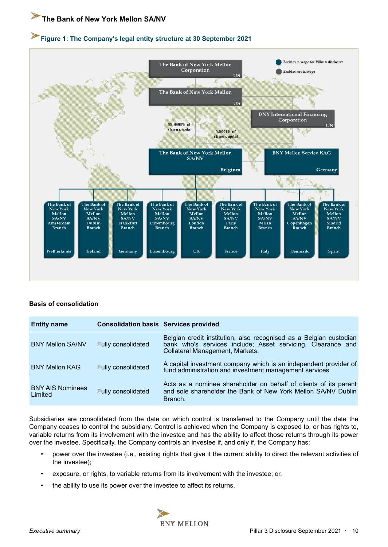# **Figure 1: The Company's legal entity structure at 30 September 2021**



#### **Basis of consolidation**

| <b>Entity name</b>                 | <b>Consolidation basis Services provided</b> |                                                                                                                                                                      |
|------------------------------------|----------------------------------------------|----------------------------------------------------------------------------------------------------------------------------------------------------------------------|
| <b>BNY Mellon SA/NV</b>            | Fully consolidated                           | Belgian credit institution, also recognised as a Belgian custodian<br>bank who's services include; Asset servicing, Clearance and<br>Collateral Management, Markets. |
| <b>BNY Mellon KAG</b>              | Fully consolidated                           | A capital investment company which is an independent provider of<br>fund administration and investment management services.                                          |
| <b>BNY AIS Nominees</b><br>Limited | Fully consolidated                           | Acts as a nominee shareholder on behalf of clients of its parent<br>and sole shareholder the Bank of New York Mellon SA/NV Dublin<br>Branch.                         |

Subsidiaries are consolidated from the date on which control is transferred to the Company until the date the Company ceases to control the subsidiary. Control is achieved when the Company is exposed to, or has rights to, variable returns from its involvement with the investee and has the ability to affect those returns through its power over the investee. Specifically, the Company controls an investee if, and only if, the Company has:

- power over the investee (i.e., existing rights that give it the current ability to direct the relevant activities of the investee);
- exposure, or rights, to variable returns from its involvement with the investee; or,
- the ability to use its power over the investee to affect its returns.

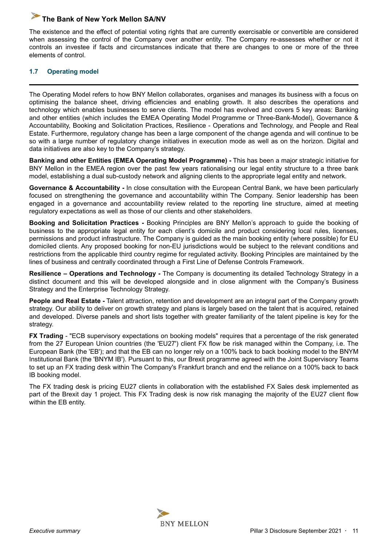<span id="page-10-0"></span>The existence and the effect of potential voting rights that are currently exercisable or convertible are considered when assessing the control of the Company over another entity. The Company re-assesses whether or not it controls an investee if facts and circumstances indicate that there are changes to one or more of the three elements of control.

#### **1.7 Operating model**

The Operating Model refers to how BNY Mellon collaborates, organises and manages its business with a focus on optimising the balance sheet, driving efficiencies and enabling growth. It also describes the operations and technology which enables businesses to serve clients. The model has evolved and covers 5 key areas: Banking and other entities (which includes the EMEA Operating Model Programme or Three-Bank-Model), Governance & Accountability, Booking and Solicitation Practices, Resilience - Operations and Technology, and People and Real Estate. Furthermore, regulatory change has been a large component of the change agenda and will continue to be so with a large number of regulatory change initiatives in execution mode as well as on the horizon. Digital and data initiatives are also key to the Company's strategy.

**Banking and other Entities (EMEA Operating Model Programme) -** This has been a major strategic initiative for BNY Mellon in the EMEA region over the past few years rationalising our legal entity structure to a three bank model, establishing a dual sub-custody network and aligning clients to the appropriate legal entity and network.

**Governance & Accountability -** In close consultation with the European Central Bank, we have been particularly focused on strengthening the governance and accountability within The Company. Senior leadership has been engaged in a governance and accountability review related to the reporting line structure, aimed at meeting regulatory expectations as well as those of our clients and other stakeholders.

**Booking and Solicitation Practices -** Booking Principles are BNY Mellon's approach to guide the booking of business to the appropriate legal entity for each client's domicile and product considering local rules, licenses, permissions and product infrastructure. The Company is guided as the main booking entity (where possible) for EU domiciled clients. Any proposed booking for non-EU jurisdictions would be subject to the relevant conditions and restrictions from the applicable third country regime for regulated activity. Booking Principles are maintained by the lines of business and centrally coordinated through a First Line of Defense Controls Framework.

**Resilience – Operations and Technology -** The Company is documenting its detailed Technology Strategy in a distinct document and this will be developed alongside and in close alignment with the Company's Business Strategy and the Enterprise Technology Strategy.

**People and Real Estate -** Talent attraction, retention and development are an integral part of the Company growth strategy. Our ability to deliver on growth strategy and plans is largely based on the talent that is acquired, retained and developed. Diverse panels and short lists together with greater familiarity of the talent pipeline is key for the strategy.

**FX Trading** - "ECB supervisory expectations on booking models" requires that a percentage of the risk generated from the 27 European Union countries (the 'EU27') client FX flow be risk managed within the Company, i.e. The European Bank (the 'EB'); and that the EB can no longer rely on a 100% back to back booking model to the BNYM Institutional Bank (the 'BNYM IB'). Pursuant to this, our Brexit programme agreed with the Joint Supervisory Teams to set up an FX trading desk within The Company's Frankfurt branch and end the reliance on a 100% back to back IB booking model.

The FX trading desk is pricing EU27 clients in collaboration with the established FX Sales desk implemented as part of the Brexit day 1 project. This FX Trading desk is now risk managing the majority of the EU27 client flow within the EB entity.

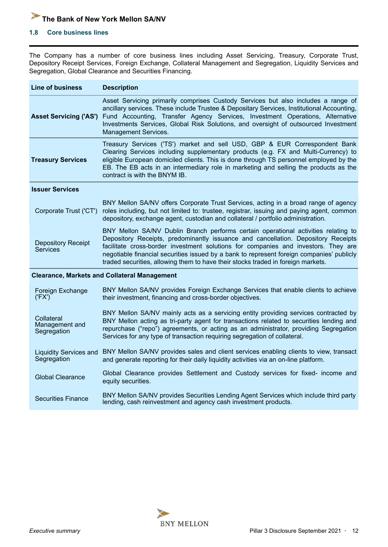#### <span id="page-11-0"></span>**1.8 Core business lines**

The Company has a number of core business lines including Asset Servicing, Treasury, Corporate Trust, Depository Receipt Services, Foreign Exchange, Collateral Management and Segregation, Liquidity Services and Segregation, Global Clearance and Securities Financing.

| <b>Line of business</b>                      | <b>Description</b>                                                                                                                                                                                                                                                                                                                                                                                                                             |
|----------------------------------------------|------------------------------------------------------------------------------------------------------------------------------------------------------------------------------------------------------------------------------------------------------------------------------------------------------------------------------------------------------------------------------------------------------------------------------------------------|
| <b>Asset Servicing ('AS')</b>                | Asset Servicing primarily comprises Custody Services but also includes a range of<br>ancillary services. These include Trustee & Depositary Services, Institutional Accounting,<br>Fund Accounting, Transfer Agency Services, Investment Operations, Alternative<br>Investments Services, Global Risk Solutions, and oversight of outsourced Investment<br>Management Services.                                                                |
| <b>Treasury Services</b>                     | Treasury Services ('TS') market and sell USD, GBP & EUR Correspondent Bank<br>Clearing Services including supplementary products (e.g. FX and Multi-Currency) to<br>eligible European domiciled clients. This is done through TS personnel employed by the<br>EB. The EB acts in an intermediary role in marketing and selling the products as the<br>contract is with the BNYM IB.                                                            |
| <b>Issuer Services</b>                       |                                                                                                                                                                                                                                                                                                                                                                                                                                                |
| Corporate Trust ('CT')                       | BNY Mellon SA/NV offers Corporate Trust Services, acting in a broad range of agency<br>roles including, but not limited to: trustee, registrar, issuing and paying agent, common<br>depository, exchange agent, custodian and collateral / portfolio administration.                                                                                                                                                                           |
| <b>Depository Receipt</b><br>Services        | BNY Mellon SA/NV Dublin Branch performs certain operational activities relating to<br>Depository Receipts, predominantly issuance and cancellation. Depository Receipts<br>facilitate cross-border investment solutions for companies and investors. They are<br>negotiable financial securities issued by a bank to represent foreign companies' publicly<br>traded securities, allowing them to have their stocks traded in foreign markets. |
|                                              | <b>Clearance, Markets and Collateral Management</b>                                                                                                                                                                                                                                                                                                                                                                                            |
| Foreign Exchange<br>('FX')                   | BNY Mellon SA/NV provides Foreign Exchange Services that enable clients to achieve<br>their investment, financing and cross-border objectives.                                                                                                                                                                                                                                                                                                 |
| Collateral<br>Management and<br>Segregation  | BNY Mellon SA/NV mainly acts as a servicing entity providing services contracted by<br>BNY Mellon acting as tri-party agent for transactions related to securities lending and<br>repurchase ("repo") agreements, or acting as an administrator, providing Segregation<br>Services for any type of transaction requiring segregation of collateral.                                                                                            |
| <b>Liquidity Services and</b><br>Segregation | BNY Mellon SA/NV provides sales and client services enabling clients to view, transact<br>and generate reporting for their daily liquidity activities via an on-line platform.                                                                                                                                                                                                                                                                 |
| <b>Global Clearance</b>                      | Global Clearance provides Settlement and Custody services for fixed- income and<br>equity securities.                                                                                                                                                                                                                                                                                                                                          |
| <b>Securities Finance</b>                    | BNY Mellon SA/NV provides Securities Lending Agent Services which include third party<br>lending, cash reinvestment and agency cash investment products.                                                                                                                                                                                                                                                                                       |

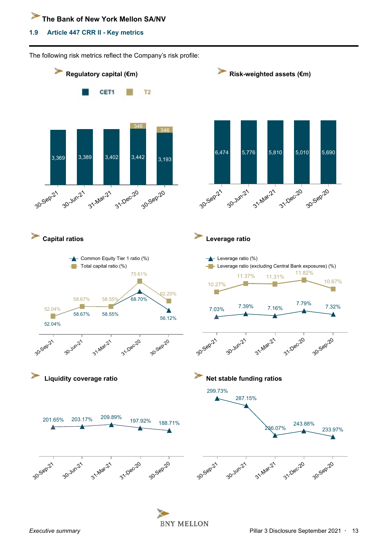#### <span id="page-12-0"></span>**1.9 Article 447 CRR II - Key metrics**



**BNY MELLON**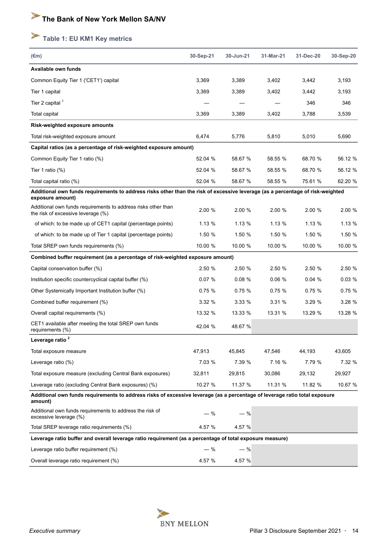# <span id="page-13-0"></span>**Table 1: EU KM1 Key metrics**

| $(\epsilon m)$                                                                                                                                     | 30-Sep-21 | 30-Jun-21 | 31-Mar-21 | 31-Dec-20 | 30-Sep-20 |
|----------------------------------------------------------------------------------------------------------------------------------------------------|-----------|-----------|-----------|-----------|-----------|
| Available own funds                                                                                                                                |           |           |           |           |           |
| Common Equity Tier 1 ('CET1') capital                                                                                                              | 3,369     | 3,389     | 3,402     | 3,442     | 3,193     |
| Tier 1 capital                                                                                                                                     | 3,369     | 3,389     | 3,402     | 3,442     | 3,193     |
| Tier 2 capital $1$                                                                                                                                 |           |           |           | 346       | 346       |
| Total capital                                                                                                                                      | 3,369     | 3,389     | 3,402     | 3,788     | 3,539     |
| Risk-weighted exposure amounts                                                                                                                     |           |           |           |           |           |
| Total risk-weighted exposure amount                                                                                                                | 6,474     | 5,776     | 5,810     | 5,010     | 5,690     |
| Capital ratios (as a percentage of risk-weighted exposure amount)                                                                                  |           |           |           |           |           |
| Common Equity Tier 1 ratio (%)                                                                                                                     | 52.04 %   | 58.67 %   | 58.55 %   | 68.70 %   | 56.12 %   |
| Tier 1 ratio $(\%)$                                                                                                                                | 52.04 %   | 58.67 %   | 58.55 %   | 68.70 %   | 56.12 %   |
| Total capital ratio (%)                                                                                                                            | 52.04 %   | 58.67 %   | 58.55 %   | 75.61 %   | 62.20 %   |
| Additional own funds requirements to address risks other than the risk of excessive leverage (as a percentage of risk-weighted<br>exposure amount) |           |           |           |           |           |
| Additional own funds requirements to address risks other than<br>the risk of excessive leverage (%)                                                | 2.00%     | 2.00%     | 2.00%     | 2.00 %    | 2.00 %    |
| of which: to be made up of CET1 capital (percentage points)                                                                                        | 1.13%     | 1.13%     | 1.13%     | 1.13%     | 1.13%     |
| of which: to be made up of Tier 1 capital (percentage points)                                                                                      | 1.50 %    | 1.50 %    | 1.50 %    | 1.50 %    | 1.50 %    |
| Total SREP own funds requirements (%)                                                                                                              | 10.00 %   | 10.00 %   | 10.00 %   | 10.00 %   | 10.00 %   |
| Combined buffer requirement (as a percentage of risk-weighted exposure amount)                                                                     |           |           |           |           |           |
| Capital conservation buffer (%)                                                                                                                    | 2.50%     | 2.50%     | 2.50 %    | 2.50%     | 2.50 %    |
| Institution specific countercyclical capital buffer (%)                                                                                            | 0.07%     | 0.08%     | 0.06%     | 0.04%     | 0.03%     |
| Other Systemically Important Institution buffer (%)                                                                                                | 0.75%     | 0.75%     | 0.75%     | 0.75%     | 0.75%     |
| Combined buffer requirement (%)                                                                                                                    | 3.32%     | 3.33%     | 3.31%     | 3.29%     | 3.28%     |
| Overall capital requirements (%)                                                                                                                   | 13.32 %   | 13.33 %   | 13.31 %   | 13.29 %   | 13.28 %   |
| CET1 available after meeting the total SREP own funds<br>requirements (%)                                                                          | 42.04 %   | 48.67 %   |           |           |           |
| Leverage ratio <sup>2</sup>                                                                                                                        |           |           |           |           |           |
| Total exposure measure                                                                                                                             | 47,913    | 45,845    | 47.546    | 44,193    | 43,605    |
| Leverage ratio (%)                                                                                                                                 | 7.03 %    | 7.39 %    | 7.16 %    | 7.79 %    | 7.32 %    |
| Total exposure measure (excluding Central Bank exposures)                                                                                          | 32,811    | 29,815    | 30,086    | 29,132    | 29,927    |
| Leverage ratio (excluding Central Bank exposures) (%)                                                                                              | 10.27 %   | 11.37 %   | 11.31 %   | 11.82 %   | 10.67 %   |
| Additional own funds requirements to address risks of excessive leverage (as a percentage of leverage ratio total exposure<br>amount)              |           |           |           |           |           |
| Additional own funds requirements to address the risk of<br>excessive leverage (%)                                                                 | — %       | $-$ %     |           |           |           |
| Total SREP leverage ratio requirements (%)                                                                                                         | 4.57 %    | 4.57 %    |           |           |           |
| Leverage ratio buffer and overall leverage ratio requirement (as a percentage of total exposure measure)                                           |           |           |           |           |           |
| Leverage ratio buffer requirement (%)                                                                                                              | $-$ %     | $-$ %     |           |           |           |
| Overall leverage ratio requirement (%)                                                                                                             | 4.57 %    | 4.57 %    |           |           |           |

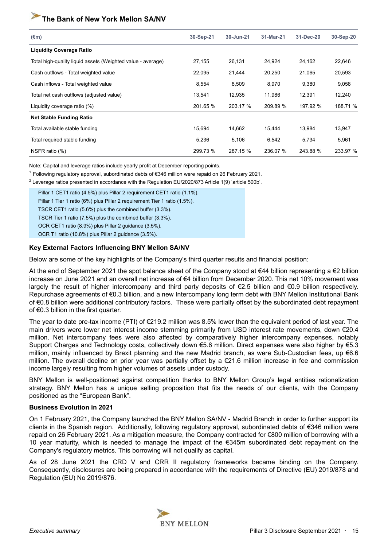| $(\epsilon m)$                                              | 30-Sep-21 | 30-Jun-21 | 31-Mar-21 | 31-Dec-20 | 30-Sep-20 |
|-------------------------------------------------------------|-----------|-----------|-----------|-----------|-----------|
| <b>Liquidity Coverage Ratio</b>                             |           |           |           |           |           |
| Total high-quality liquid assets (Weighted value - average) | 27,155    | 26,131    | 24,924    | 24,162    | 22,646    |
| Cash outflows - Total weighted value                        | 22,095    | 21,444    | 20,250    | 21,065    | 20,593    |
| Cash inflows - Total weighted value                         | 8,554     | 8,509     | 8,970     | 9,380     | 9,058     |
| Total net cash outflows (adjusted value)                    | 13,541    | 12,935    | 11,986    | 12,391    | 12,240    |
| Liquidity coverage ratio (%)                                | 201.65 %  | 203.17 %  | 209.89 %  | 197.92 %  | 188.71 %  |
| <b>Net Stable Funding Ratio</b>                             |           |           |           |           |           |
| Total available stable funding                              | 15,694    | 14,662    | 15,444    | 13,984    | 13,947    |
| Total required stable funding                               | 5,236     | 5,106     | 6,542     | 5,734     | 5,961     |
| NSFR ratio (%)                                              | 299.73 %  | 287.15 %  | 236.07 %  | 243.88 %  | 233.97 %  |

Note: Capital and leverage ratios include yearly profit at December reporting points.

<sup>1</sup>Following regulatory approval, subordinated debts of €346 million were repaid on 26 February 2021.

 $^2$  Leverage ratios presented in accordance with the Regulation EU/2020/873 Article 1(9) 'article 500b'.

Pillar 1 CET1 ratio (4.5%) plus Pillar 2 requirement CET1 ratio (1.1%). Pillar 1 Tier 1 ratio (6%) plus Pillar 2 requirement Tier 1 ratio (1.5%). TSCR CET1 ratio (5.6%) plus the combined buffer (3.3%). TSCR Tier 1 ratio (7.5%) plus the combined buffer (3.3%). OCR CET1 ratio (8.9%) plus Pillar 2 guidance (3.5%). OCR T1 ratio (10.8%) plus Pillar 2 guidance (3.5%).

#### **Key External Factors Influencing BNY Mellon SA/NV**

Below are some of the key highlights of the Company's third quarter results and financial position:

At the end of September 2021 the spot balance sheet of the Company stood at €44 billion representing a €2 billion increase on June 2021 and an overall net increase of €4 billion from December 2020. This net 10% movement was largely the result of higher intercompany and third party deposits of €2.5 billion and €0.9 billion respectively. Repurchase agreements of €0.3 billion, and a new Intercompany long term debt with BNY Mellon Institutional Bank of €0.8 billion were additional contributory factors. These were partially offset by the subordinated debt repayment of €0.3 billion in the first quarter.

The year to date pre-tax income (PTI) of €219.2 million was 8.5% lower than the equivalent period of last year. The main drivers were lower net interest income stemming primarily from USD interest rate movements, down €20.4 million. Net intercompany fees were also affected by comparatively higher intercompany expenses, notably Support Charges and Technology costs, collectively down €5.6 million. Direct expenses were also higher by €5.3 million, mainly influenced by Brexit planning and the new Madrid branch, as were Sub-Custodian fees, up €6.6 million. The overall decline on prior year was partially offset by a €21.6 million increase in fee and commission income largely resulting from higher volumes of assets under custody.

BNY Mellon is well-positioned against competition thanks to BNY Mellon Group's legal entities rationalization strategy. BNY Mellon has a unique selling proposition that fits the needs of our clients, with the Company positioned as the "European Bank".

#### **Business Evolution in 2021**

On 1 February 2021, the Company launched the BNY Mellon SA/NV - Madrid Branch in order to further support its clients in the Spanish region. Additionally, following regulatory approval, subordinated debts of €346 million were repaid on 26 February 2021. As a mitigation measure, the Company contracted for €800 million of borrowing with a 10 year maturity, which is needed to manage the impact of the €345m subordinated debt repayment on the Company's regulatory metrics. This borrowing will not qualify as capital.

As of 28 June 2021 the CRD V and CRR II regulatory frameworks became binding on the Company. Consequently, disclosures are being prepared in accordance with the requirements of Directive (EU) 2019/878 and Regulation (EU) No 2019/876.

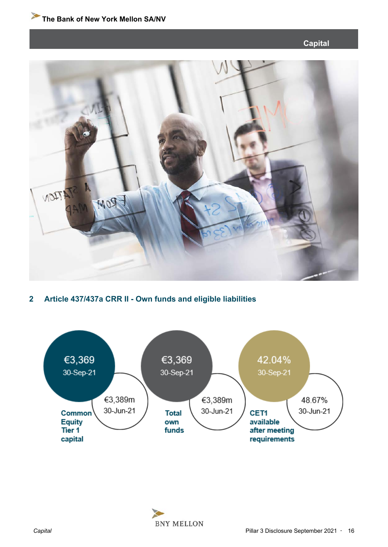#### **Capital**

<span id="page-15-0"></span>

#### **2 Article 437/437a CRR II - Own funds and eligible liabilities**



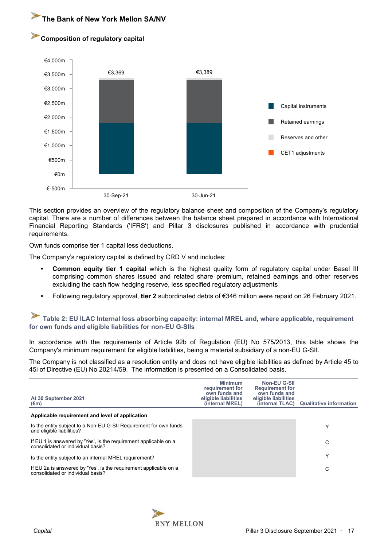#### <span id="page-16-0"></span>**Composition of regulatory capital**



This section provides an overview of the regulatory balance sheet and composition of the Company's regulatory capital. There are a number of differences between the balance sheet prepared in accordance with International Financial Reporting Standards ('IFRS') and Pillar 3 disclosures published in accordance with prudential requirements.

Own funds comprise tier 1 capital less deductions.

The Company's regulatory capital is defined by CRD V and includes:

- **Common equity tier 1 capital** which is the highest quality form of regulatory capital under Basel III comprising common shares issued and related share premium, retained earnings and other reserves excluding the cash flow hedging reserve, less specified regulatory adjustments
- **•** Following regulatory approval, **tier 2** subordinated debts of €346 million were repaid on 26 February 2021.

**Table 2: EU ILAC Internal loss absorbing capacity: internal MREL and, where applicable, requirement for own funds and eligible liabilities for non-EU G-SIIs**

In accordance with the requirements of Article 92b of Regulation (EU) No 575/2013, this table shows the Company's minimum requirement for eligible liabilities, being a material subsidiary of a non-EU G-SII.

The Company is not classified as a resolution entity and does not have eligible liabilities as defined by Article 45 to 45i of Directive (EU) No 20214/59. The information is presented on a Consolidated basis.

| At 30 September 2021<br>$(\epsilon m)$                                                                 | <b>Minimum</b><br>requirement for<br>own funds and<br>eligible liabilities<br>(internal MREL) | Non-EU G-SII<br><b>Requirement for</b><br>own funds and<br>eligible liabilities | (internal TLAC) Qualitative information |
|--------------------------------------------------------------------------------------------------------|-----------------------------------------------------------------------------------------------|---------------------------------------------------------------------------------|-----------------------------------------|
| Applicable requirement and level of application                                                        |                                                                                               |                                                                                 |                                         |
| Is the entity subject to a Non-EU G-SII Requirement for own funds<br>and eligible liabilities?         |                                                                                               |                                                                                 | Υ                                       |
| If EU 1 is answered by 'Yes', is the requirement applicable on a<br>consolidated or individual basis?  |                                                                                               |                                                                                 | C                                       |
| Is the entity subject to an internal MREL requirement?                                                 |                                                                                               |                                                                                 | Υ                                       |
| If EU 2a is answered by 'Yes', is the requirement applicable on a<br>consolidated or individual basis? |                                                                                               |                                                                                 | C                                       |

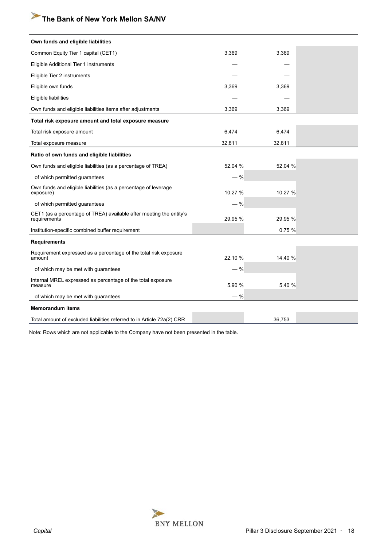| Own funds and eligible liabilities                                                  |         |         |  |
|-------------------------------------------------------------------------------------|---------|---------|--|
| Common Equity Tier 1 capital (CET1)                                                 | 3,369   | 3,369   |  |
| Eligible Additional Tier 1 instruments                                              |         |         |  |
| Eligible Tier 2 instruments                                                         |         |         |  |
| Eligible own funds                                                                  | 3,369   | 3,369   |  |
| Eligible liabilities                                                                |         |         |  |
| Own funds and eligible liabilities items after adjustments                          | 3,369   | 3,369   |  |
| Total risk exposure amount and total exposure measure                               |         |         |  |
| Total risk exposure amount                                                          | 6,474   | 6,474   |  |
| Total exposure measure                                                              | 32,811  | 32,811  |  |
| Ratio of own funds and eligible liabilities                                         |         |         |  |
| Own funds and eligible liabilities (as a percentage of TREA)                        | 52.04 % | 52.04 % |  |
| of which permitted guarantees                                                       | $-$ %   |         |  |
| Own funds and eligible liabilities (as a percentage of leverage<br>exposure)        | 10.27 % | 10.27 % |  |
| of which permitted guarantees                                                       | $-$ %   |         |  |
| CET1 (as a percentage of TREA) available after meeting the entity's<br>requirements | 29.95 % | 29.95 % |  |
| Institution-specific combined buffer requirement                                    |         | 0.75%   |  |
| <b>Requirements</b>                                                                 |         |         |  |
| Requirement expressed as a percentage of the total risk exposure<br>amount          | 22.10 % | 14.40 % |  |
| of which may be met with guarantees                                                 | $-$ %   |         |  |
| Internal MREL expressed as percentage of the total exposure<br>measure              | 5.90 %  | 5.40 %  |  |
| of which may be met with guarantees                                                 | $-$ %   |         |  |
| <b>Memorandum items</b>                                                             |         |         |  |
| Total amount of excluded liabilities referred to in Article 72a(2) CRR              |         | 36,753  |  |

Note: Rows which are not applicable to the Company have not been presented in the table.

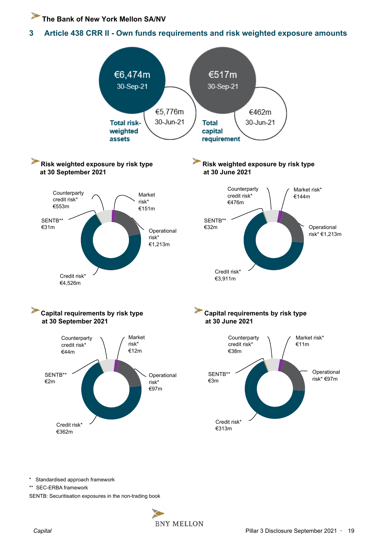<span id="page-18-0"></span>**3 Article 438 CRR II - Own funds requirements and risk weighted exposure amounts** 



\* Standardised approach framework

\*\* SEC-ERBA framework

SENTB: Securitisation exposures in the non-trading book

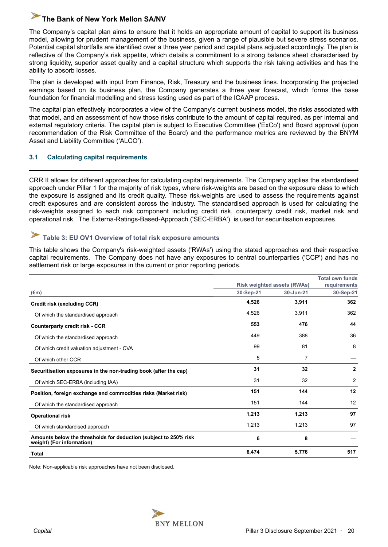<span id="page-19-0"></span>The Company's capital plan aims to ensure that it holds an appropriate amount of capital to support its business model, allowing for prudent management of the business, given a range of plausible but severe stress scenarios. Potential capital shortfalls are identified over a three year period and capital plans adjusted accordingly. The plan is reflective of the Company's risk appetite, which details a commitment to a strong balance sheet characterised by strong liquidity, superior asset quality and a capital structure which supports the risk taking activities and has the ability to absorb losses.

The plan is developed with input from Finance, Risk, Treasury and the business lines. Incorporating the projected earnings based on its business plan, the Company generates a three year forecast, which forms the base foundation for financial modelling and stress testing used as part of the ICAAP process.

The capital plan effectively incorporates a view of the Company's current business model, the risks associated with that model, and an assessment of how those risks contribute to the amount of capital required, as per internal and external regulatory criteria. The capital plan is subject to Executive Committee ('ExCo') and Board approval (upon recommendation of the Risk Committee of the Board) and the performance metrics are reviewed by the BNYM Asset and Liability Committee ('ALCO').

#### **3.1 Calculating capital requirements**

CRR II allows for different approaches for calculating capital requirements. The Company applies the standardised approach under Pillar 1 for the majority of risk types, where risk-weights are based on the exposure class to which the exposure is assigned and its credit quality. These risk-weights are used to assess the requirements against credit exposures and are consistent across the industry. The standardised approach is used for calculating the risk-weights assigned to each risk component including credit risk, counterparty credit risk, market risk and operational risk. The Externa-Ratings-Based-Approach ('SEC-ERBA') is used for securitisation exposures.

#### **Table 3: EU OV1 Overview of total risk exposure amounts**

This table shows the Company's risk-weighted assets ('RWAs') using the stated approaches and their respective capital requirements. The Company does not have any exposures to central counterparties ('CCP') and has no settlement risk or large exposures in the current or prior reporting periods.

|                                                                                               |           |                                    | <b>Total own funds</b> |  |
|-----------------------------------------------------------------------------------------------|-----------|------------------------------------|------------------------|--|
|                                                                                               |           | <b>Risk weighted assets (RWAs)</b> | requirements           |  |
| (€m)                                                                                          | 30-Sep-21 | 30-Jun-21                          | 30-Sep-21              |  |
| Credit risk (excluding CCR)                                                                   | 4,526     | 3,911                              | 362                    |  |
| Of which the standardised approach                                                            | 4,526     | 3,911                              | 362                    |  |
| <b>Counterparty credit risk - CCR</b>                                                         | 553       | 476                                | 44                     |  |
| Of which the standardised approach                                                            | 449       | 388                                | 36                     |  |
| Of which credit valuation adjustment - CVA                                                    | 99        | 81                                 | 8                      |  |
| Of which other CCR                                                                            | 5         | 7                                  |                        |  |
| Securitisation exposures in the non-trading book (after the cap)                              | 31        | 32                                 | $\mathbf{2}$           |  |
| Of which SEC-ERBA (including IAA)                                                             | 31        | 32                                 | 2                      |  |
| Position, foreign exchange and commodities risks (Market risk)                                | 151       | 144                                | 12                     |  |
| Of which the standardised approach                                                            | 151       | 144                                | 12                     |  |
| <b>Operational risk</b>                                                                       | 1,213     | 1,213                              | 97                     |  |
| Of which standardised approach                                                                | 1,213     | 1,213                              | 97                     |  |
| Amounts below the thresholds for deduction (subject to 250% risk<br>weight) (For information) | 6         | 8                                  |                        |  |
| Total                                                                                         | 6,474     | 5,776                              | 517                    |  |

Note: Non-applicable risk approaches have not been disclosed.

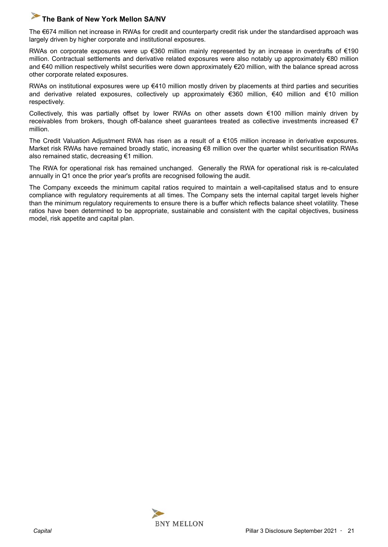The €674 million net increase in RWAs for credit and counterparty credit risk under the standardised approach was largely driven by higher corporate and institutional exposures.

RWAs on corporate exposures were up €360 million mainly represented by an increase in overdrafts of €190 million. Contractual settlements and derivative related exposures were also notably up approximately €80 million and €40 million respectively whilst securities were down approximately €20 million, with the balance spread across other corporate related exposures.

RWAs on institutional exposures were up €410 million mostly driven by placements at third parties and securities and derivative related exposures, collectively up approximately €360 million, €40 million and €10 million respectively.

Collectively, this was partially offset by lower RWAs on other assets down €100 million mainly driven by receivables from brokers, though off-balance sheet guarantees treated as collective investments increased €7 million.

The Credit Valuation Adjustment RWA has risen as a result of a €105 million increase in derivative exposures. Market risk RWAs have remained broadly static, increasing €8 million over the quarter whilst securitisation RWAs also remained static, decreasing €1 million.

The RWA for operational risk has remained unchanged. Generally the RWA for operational risk is re-calculated annually in Q1 once the prior year's profits are recognised following the audit.

The Company exceeds the minimum capital ratios required to maintain a well-capitalised status and to ensure compliance with regulatory requirements at all times. The Company sets the internal capital target levels higher than the minimum regulatory requirements to ensure there is a buffer which reflects balance sheet volatility. These ratios have been determined to be appropriate, sustainable and consistent with the capital objectives, business model, risk appetite and capital plan.

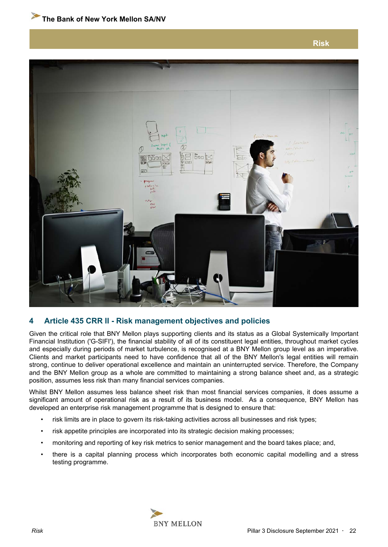**Risk**

<span id="page-21-0"></span>

#### **4 Article 435 CRR II - Risk management objectives and policies**

Given the critical role that BNY Mellon plays supporting clients and its status as a Global Systemically Important Financial Institution ('G-SIFI'), the financial stability of all of its constituent legal entities, throughout market cycles and especially during periods of market turbulence, is recognised at a BNY Mellon group level as an imperative. Clients and market participants need to have confidence that all of the BNY Mellon's legal entities will remain strong, continue to deliver operational excellence and maintain an uninterrupted service. Therefore, the Company and the BNY Mellon group as a whole are committed to maintaining a strong balance sheet and, as a strategic position, assumes less risk than many financial services companies.

Whilst BNY Mellon assumes less balance sheet risk than most financial services companies, it does assume a significant amount of operational risk as a result of its business model. As a consequence, BNY Mellon has developed an enterprise risk management programme that is designed to ensure that:

- risk limits are in place to govern its risk-taking activities across all businesses and risk types;
- risk appetite principles are incorporated into its strategic decision making processes;
- monitoring and reporting of key risk metrics to senior management and the board takes place; and,
- there is a capital planning process which incorporates both economic capital modelling and a stress testing programme.

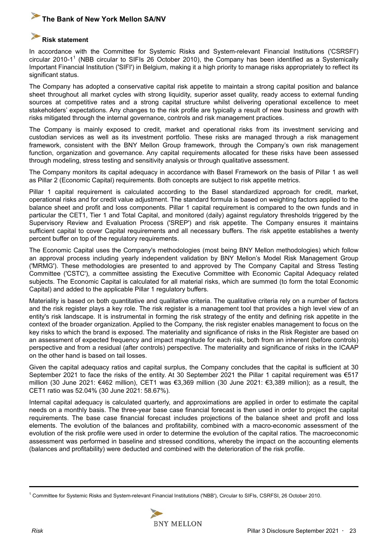#### **Risk statement**

In accordance with the Committee for Systemic Risks and System-relevant Financial Institutions ('CSRSFI') circular 2010-1<sup>1</sup> (NBB circular to SIFIs 26 October 2010), the Company has been identified as a Systemically Important Financial Institution ('SIFI') in Belgium, making it a high priority to manage risks appropriately to reflect its significant status.

The Company has adopted a conservative capital risk appetite to maintain a strong capital position and balance sheet throughout all market cycles with strong liquidity, superior asset quality, ready access to external funding sources at competitive rates and a strong capital structure whilst delivering operational excellence to meet stakeholders' expectations. Any changes to the risk profile are typically a result of new business and growth with risks mitigated through the internal governance, controls and risk management practices.

The Company is mainly exposed to credit, market and operational risks from its investment servicing and custodian services as well as its investment portfolio. These risks are managed through a risk management framework, consistent with the BNY Mellon Group framework, through the Company's own risk management function, organization and governance. Any capital requirements allocated for these risks have been assessed through modeling, stress testing and sensitivity analysis or through qualitative assessment.

The Company monitors its capital adequacy in accordance with Basel Framework on the basis of Pillar 1 as well as Pillar 2 (Economic Capital) requirements. Both concepts are subject to risk appetite metrics.

Pillar 1 capital requirement is calculated according to the Basel standardized approach for credit, market, operational risks and for credit value adjustment. The standard formula is based on weighting factors applied to the balance sheet and profit and loss components. Pillar 1 capital requirement is compared to the own funds and in particular the CET1, Tier 1 and Total Capital, and monitored (daily) against regulatory thresholds triggered by the Supervisory Review and Evaluation Process ('SREP') and risk appetite. The Company ensures it maintains sufficient capital to cover Capital requirements and all necessary buffers. The risk appetite establishes a twenty percent buffer on top of the regulatory requirements.

The Economic Capital uses the Company's methodologies (most being BNY Mellon methodologies) which follow an approval process including yearly independent validation by BNY Mellon's Model Risk Management Group ('MRMG'). These methodologies are presented to and approved by The Company Capital and Stress Testing Committee ('CSTC'), a committee assisting the Executive Committee with Economic Capital Adequacy related subjects. The Economic Capital is calculated for all material risks, which are summed (to form the total Economic Capital) and added to the applicable Pillar 1 regulatory buffers.

Materiality is based on both quantitative and qualitative criteria. The qualitative criteria rely on a number of factors and the risk register plays a key role. The risk register is a management tool that provides a high level view of an entity's risk landscape. It is instrumental in forming the risk strategy of the entity and defining risk appetite in the context of the broader organization. Applied to the Company, the risk register enables management to focus on the key risks to which the brand is exposed. The materiality and significance of risks in the Risk Register are based on an assessment of expected frequency and impact magnitude for each risk, both from an inherent (before controls) perspective and from a residual (after controls) perspective. The materiality and significance of risks in the ICAAP on the other hand is based on tail losses.

Given the capital adequacy ratios and capital surplus, the Company concludes that the capital is sufficient at 30 September 2021 to face the risks of the entity. At 30 September 2021 the Pillar 1 capital requirement was €517 million (30 June 2021: €462 million), CET1 was €3,369 million (30 June 2021: €3,389 million); as a result, the CET1 ratio was 52.04% (30 June 2021: 58.67%).

Internal capital adequacy is calculated quarterly, and approximations are applied in order to estimate the capital needs on a monthly basis. The three-year base case financial forecast is then used in order to project the capital requirements. The base case financial forecast includes projections of the balance sheet and profit and loss elements. The evolution of the balances and profitability, combined with a macro-economic assessment of the evolution of the risk profile were used in order to determine the evolution of the capital ratios. The macroeconomic assessment was performed in baseline and stressed conditions, whereby the impact on the accounting elements (balances and profitability) were deducted and combined with the deterioration of the risk profile.

<sup>1</sup> Committee for Systemic Risks and System-relevant Financial Institutions ('NBB'), Circular to SIFIs, CSRFSI, 26 October 2010.

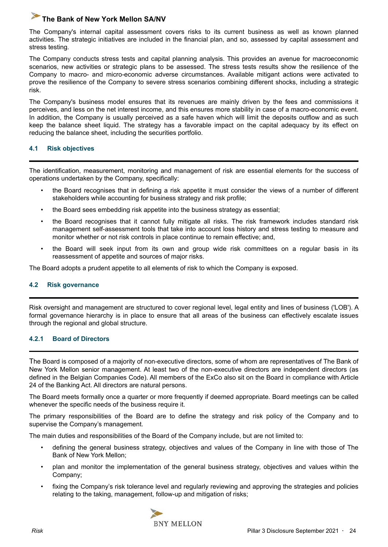<span id="page-23-0"></span>The Company's internal capital assessment covers risks to its current business as well as known planned activities. The strategic initiatives are included in the financial plan, and so, assessed by capital assessment and stress testing.

The Company conducts stress tests and capital planning analysis. This provides an avenue for macroeconomic scenarios, new activities or strategic plans to be assessed. The stress tests results show the resilience of the Company to macro- and micro-economic adverse circumstances. Available mitigant actions were activated to prove the resilience of the Company to severe stress scenarios combining different shocks, including a strategic risk.

The Company's business model ensures that its revenues are mainly driven by the fees and commissions it perceives, and less on the net interest income, and this ensures more stability in case of a macro-economic event. In addition, the Company is usually perceived as a safe haven which will limit the deposits outflow and as such keep the balance sheet liquid. The strategy has a favorable impact on the capital adequacy by its effect on reducing the balance sheet, including the securities portfolio.

#### **4.1 Risk objectives**

The identification, measurement, monitoring and management of risk are essential elements for the success of operations undertaken by the Company, specifically:

- the Board recognises that in defining a risk appetite it must consider the views of a number of different stakeholders while accounting for business strategy and risk profile;
- the Board sees embedding risk appetite into the business strategy as essential;
- the Board recognises that it cannot fully mitigate all risks. The risk framework includes standard risk management self-assessment tools that take into account loss history and stress testing to measure and monitor whether or not risk controls in place continue to remain effective; and,
- the Board will seek input from its own and group wide risk committees on a regular basis in its reassessment of appetite and sources of major risks.

The Board adopts a prudent appetite to all elements of risk to which the Company is exposed.

#### **4.2 Risk governance**

Risk oversight and management are structured to cover regional level, legal entity and lines of business ('LOB'). A formal governance hierarchy is in place to ensure that all areas of the business can effectively escalate issues through the regional and global structure.

#### **4.2.1 Board of Directors**

The Board is composed of a majority of non-executive directors, some of whom are representatives of The Bank of New York Mellon senior management. At least two of the non-executive directors are independent directors (as defined in the Belgian Companies Code). All members of the ExCo also sit on the Board in compliance with Article 24 of the Banking Act. All directors are natural persons.

The Board meets formally once a quarter or more frequently if deemed appropriate. Board meetings can be called whenever the specific needs of the business require it.

The primary responsibilities of the Board are to define the strategy and risk policy of the Company and to supervise the Company's management.

The main duties and responsibilities of the Board of the Company include, but are not limited to:

- defining the general business strategy, objectives and values of the Company in line with those of The Bank of New York Mellon;
- plan and monitor the implementation of the general business strategy, objectives and values within the Company;
- fixing the Company's risk tolerance level and regularly reviewing and approving the strategies and policies relating to the taking, management, follow-up and mitigation of risks;

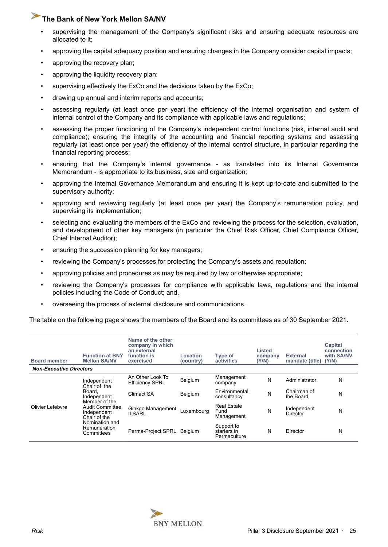- supervising the management of the Company's significant risks and ensuring adequate resources are allocated to it;
- approving the capital adequacy position and ensuring changes in the Company consider capital impacts;
- approving the recovery plan;
- approving the liquidity recovery plan;
- supervising effectively the ExCo and the decisions taken by the ExCo;
- drawing up annual and interim reports and accounts;
- assessing regularly (at least once per year) the efficiency of the internal organisation and system of internal control of the Company and its compliance with applicable laws and regulations;
- assessing the proper functioning of the Company's independent control functions (risk, internal audit and compliance); ensuring the integrity of the accounting and financial reporting systems and assessing regularly (at least once per year) the efficiency of the internal control structure, in particular regarding the financial reporting process;
- ensuring that the Company's internal governance as translated into its Internal Governance Memorandum - is appropriate to its business, size and organization;
- approving the Internal Governance Memorandum and ensuring it is kept up-to-date and submitted to the supervisory authority;
- approving and reviewing regularly (at least once per year) the Company's remuneration policy, and supervising its implementation;
- selecting and evaluating the members of the ExCo and reviewing the process for the selection, evaluation, and development of other key managers (in particular the Chief Risk Officer, Chief Compliance Officer, Chief Internal Auditor);
- ensuring the succession planning for key managers;
- reviewing the Company's processes for protecting the Company's assets and reputation;
- approving policies and procedures as may be required by law or otherwise appropriate;
- reviewing the Company's processes for compliance with applicable laws, regulations and the internal policies including the Code of Conduct; and,
- overseeing the process of external disclosure and communications.

The table on the following page shows the members of the Board and its committees as of 30 September 2021.

| <b>Board member</b>            | <b>Function at BNY</b><br><b>Mellon SA/NV</b>                                                                                                                            | Name of the other<br>company in which<br>an external<br>function is<br>exercised | Location<br>(country) | <b>Type of</b><br>activities              | Listed<br>company<br>(Y/N) | <b>External</b><br>mandate (title) (Y/N) | Capital<br>connection<br>with SA/NV |
|--------------------------------|--------------------------------------------------------------------------------------------------------------------------------------------------------------------------|----------------------------------------------------------------------------------|-----------------------|-------------------------------------------|----------------------------|------------------------------------------|-------------------------------------|
| <b>Non-Executive Directors</b> |                                                                                                                                                                          |                                                                                  |                       |                                           |                            |                                          |                                     |
|                                | Independent<br>Chair of the<br>Board.<br>Independent<br>Member of the<br>Audit Committee.<br>Independent<br>Chair of the<br>Nomination and<br>Remuneration<br>Committees | An Other Look To<br><b>Efficiency SPRL</b>                                       | Belgium               | Management<br>company                     | N                          | Administrator                            | N                                   |
|                                |                                                                                                                                                                          | Climact SA                                                                       | Belgium               | Environmental<br>consultancy              | N                          | Chairman of<br>the Board                 | N                                   |
| Olivier Lefebvre               |                                                                                                                                                                          | Ginkgo Management<br>II SARL                                                     | Luxemboura            | <b>Real Estate</b><br>Fund<br>Management  | N                          | Independent<br>Director                  | N                                   |
|                                |                                                                                                                                                                          | Perma-Project SPRL Belgium                                                       |                       | Support to<br>starters in<br>Permaculture | N                          | <b>Director</b>                          | N                                   |

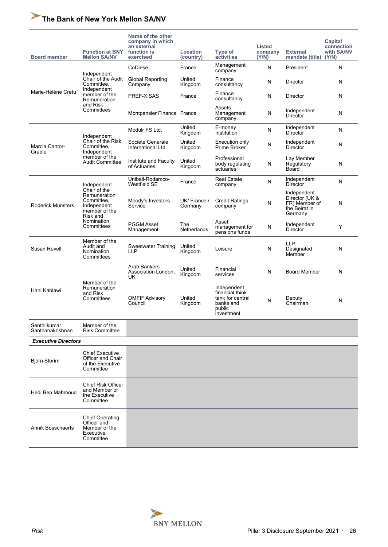| <b>Board member</b>              | <b>Function at BNY</b><br><b>Mellon SA/NV</b>                                          | Name of the other<br>company in which<br>an external<br>function is<br>exercised | Location<br>(country)   | Type of<br>activities                                                                   | Listed<br>company<br>(Y/N) | <b>External</b><br>mandate (title) (Y/N)                                   | Capital<br>connection<br>with SA/NV |
|----------------------------------|----------------------------------------------------------------------------------------|----------------------------------------------------------------------------------|-------------------------|-----------------------------------------------------------------------------------------|----------------------------|----------------------------------------------------------------------------|-------------------------------------|
|                                  |                                                                                        | CoDiese                                                                          | France                  | Management<br>company                                                                   | N                          | President                                                                  | N                                   |
|                                  | Independent<br>Chair of the Audit<br>Committee,                                        | <b>Global Reporting</b><br>Company                                               | United<br>Kingdom       | Finance<br>consultancy                                                                  | Ν                          | Director                                                                   | N                                   |
| Marie-Hélène Cretu               | Independent<br>member of the<br>Remuneration                                           | PREF-X SAS                                                                       | France                  | Finance<br>consultancy                                                                  | N                          | Director                                                                   | N                                   |
|                                  | and Risk<br>Committees                                                                 | Montpensier Finance France                                                       |                         | Assets<br>Management<br>company                                                         | N                          | Independent<br>Director                                                    | N                                   |
|                                  | Independent                                                                            | Modulr FS Ltd.                                                                   | United<br>Kingdom       | E-money<br>Institution                                                                  | N                          | Independent<br>Director                                                    | N                                   |
| Marcia Cantor-<br>Grable         | Chair of the Risk<br>Committee.<br>Independent                                         | Societe Generale<br>International Ltd.                                           | United<br>Kingdom       | Execution only<br>Prime Broker                                                          | N                          | Independent<br><b>Director</b>                                             | N                                   |
|                                  | member of the<br><b>Audit Committee</b>                                                | Institute and Faculty<br>of Actuaries                                            | United<br>Kingdom       | Professional<br>body regulating<br>actuaries                                            | N                          | Lay Member<br>Regulatory<br>Board                                          | N                                   |
|                                  | Independent                                                                            | Unibail-Rodamco-<br>Westfield SE                                                 | France                  | <b>Real Estate</b><br>company                                                           | N                          | Independent<br>Director                                                    | N                                   |
| <b>Roderick Munsters</b>         | Chair of the<br>Remuneration<br>Committee,<br>Independent<br>member of the<br>Risk and | Moody's Investors<br>Service                                                     | UK/ France /<br>Germany | <b>Credit Ratings</b><br>company                                                        | N                          | Independent<br>Director (UK &<br>FR) Member of<br>the Beirat in<br>Germany | N                                   |
|                                  | Nomination<br>Committees                                                               | <b>PGGM Asset</b><br>Management                                                  | The<br>Netherlands      | Asset<br>management for<br>pensions funds                                               | N                          | Independent<br>Director                                                    | Υ                                   |
| Susan Revell                     | Member of the<br>Audit and<br>Nomination<br>Committees                                 | Sweetwater Training<br>LLP                                                       | United<br>Kingdom       | Leisure                                                                                 | N                          | LLP<br>Designated<br>Member                                                | N                                   |
|                                  |                                                                                        | Arab Bankers<br>Association London,<br>UK                                        | United<br>Kingdom       | Financial<br>services                                                                   | N                          | <b>Board Member</b>                                                        | N                                   |
| Hani Kablawi                     | Member of the<br>Remuneration<br>and Risk<br>Committees                                | <b>OMFIF Advisory</b><br>Council                                                 | United<br>Kingdom       | Independent<br>financial think<br>tank for central<br>banks and<br>public<br>investment | N                          | Deputy<br>Chairman                                                         | N                                   |
| Senthilkumar<br>Santhanakrishnan | Member of the<br><b>Risk Committee</b>                                                 |                                                                                  |                         |                                                                                         |                            |                                                                            |                                     |
| <b>Executive Directors</b>       |                                                                                        |                                                                                  |                         |                                                                                         |                            |                                                                            |                                     |
| Björn Storim                     | <b>Chief Executive</b><br>Officer and Chair<br>of the Executive<br>Committee           |                                                                                  |                         |                                                                                         |                            |                                                                            |                                     |
| Hedi Ben Mahmoud                 | <b>Chief Risk Officer</b><br>and Member of<br>the Executive<br>Committee               |                                                                                  |                         |                                                                                         |                            |                                                                            |                                     |
| <b>Annik Bosschaerts</b>         | <b>Chief Operating</b><br>Officer and<br>Member of the<br>Executive<br>Committee       |                                                                                  |                         |                                                                                         |                            |                                                                            |                                     |

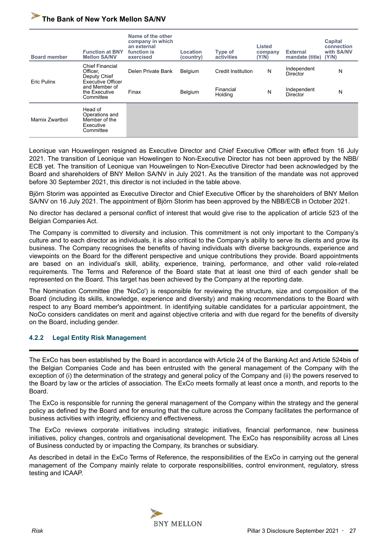| <b>Board member</b> | <b>Function at BNY</b><br><b>Mellon SA/NV</b>                                  | Name of the other<br>company in which<br>an external<br>function is<br>exercised | Location<br>(country) | Type of<br>activities | Listed<br>company<br>(Y/N) | <b>External</b><br>mandate (title) | Capital<br>connection<br>with SA/NV<br>(Y/N) |
|---------------------|--------------------------------------------------------------------------------|----------------------------------------------------------------------------------|-----------------------|-----------------------|----------------------------|------------------------------------|----------------------------------------------|
| <b>Eric Pulinx</b>  | <b>Chief Financial</b><br>Officer,<br>Deputy Chief<br><b>Executive Officer</b> | Delen Private Bank                                                               | Belgium               | Credit Institution    | N                          | Independent<br><b>Director</b>     | N                                            |
|                     | and Member of<br>the Executive<br>Committee                                    | Finax                                                                            | Belgium               | Financial<br>Holding  | N                          | Independent<br>Director            | N                                            |
| Marnix Zwartbol     | Head of<br>Operations and<br>Member of the<br>Executive<br>Committee           |                                                                                  |                       |                       |                            |                                    |                                              |

Leonique van Houwelingen resigned as Executive Director and Chief Executive Officer with effect from 16 July 2021. The transition of Leonique van Howelingen to Non-Executive Director has not been approved by the NBB/ ECB yet. The transition of Leonique van Houwelingen to Non-Executive Director had been acknowledged by the Board and shareholders of BNY Mellon SA/NV in July 2021. As the transition of the mandate was not approved before 30 September 2021, this director is not included in the table above.

Björn Storim was appointed as Executive Director and Chief Executive Officer by the shareholders of BNY Mellon SA/NV on 16 July 2021. The appointment of Björn Storim has been approved by the NBB/ECB in October 2021.

No director has declared a personal conflict of interest that would give rise to the application of article 523 of the Belgian Companies Act.

The Company is committed to diversity and inclusion. This commitment is not only important to the Company's culture and to each director as individuals, it is also critical to the Company's ability to serve its clients and grow its business. The Company recognises the benefits of having individuals with diverse backgrounds, experience and viewpoints on the Board for the different perspective and unique contributions they provide. Board appointments are based on an individual's skill, ability, experience, training, performance, and other valid role-related requirements. The Terms and Reference of the Board state that at least one third of each gender shall be represented on the Board. This target has been achieved by the Company at the reporting date.

The Nomination Committee (the 'NoCo') is responsible for reviewing the structure, size and composition of the Board (including its skills, knowledge, experience and diversity) and making recommendations to the Board with respect to any Board member's appointment. In identifying suitable candidates for a particular appointment, the NoCo considers candidates on merit and against objective criteria and with due regard for the benefits of diversity on the Board, including gender.

#### **4.2.2 Legal Entity Risk Management**

The ExCo has been established by the Board in accordance with Article 24 of the Banking Act and Article 524bis of the Belgian Companies Code and has been entrusted with the general management of the Company with the exception of (i) the determination of the strategy and general policy of the Company and (ii) the powers reserved to the Board by law or the articles of association. The ExCo meets formally at least once a month, and reports to the Board.

The ExCo is responsible for running the general management of the Company within the strategy and the general policy as defined by the Board and for ensuring that the culture across the Company facilitates the performance of business activities with integrity, efficiency and effectiveness.

The ExCo reviews corporate initiatives including strategic initiatives, financial performance, new business initiatives, policy changes, controls and organisational development. The ExCo has responsibility across all Lines of Business conducted by or impacting the Company, its branches or subsidiary.

As described in detail in the ExCo Terms of Reference, the responsibilities of the ExCo in carrying out the general management of the Company mainly relate to corporate responsibilities, control environment, regulatory, stress testing and ICAAP.

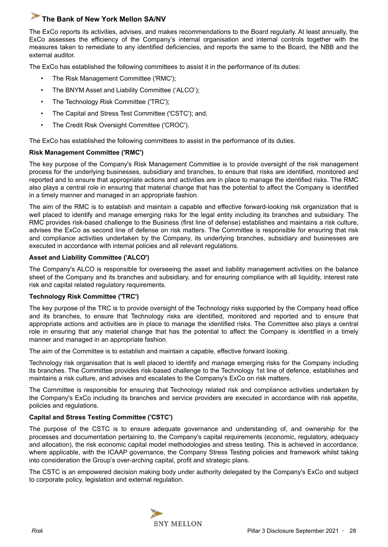The ExCo reports its activities, advises, and makes recommendations to the Board regularly. At least annually, the ExCo assesses the efficiency of the Company's internal organisation and internal controls together with the measures taken to remediate to any identified deficiencies, and reports the same to the Board, the NBB and the external auditor.

The ExCo has established the following committees to assist it in the performance of its duties:

- The Risk Management Committee ('RMC');
- The BNYM Asset and Liability Committee ('ALCO');
- The Technology Risk Committee ('TRC');
- The Capital and Stress Test Committee ('CSTC'); and,
- The Credit Risk Oversight Committee ('CROC').

The ExCo has established the following committees to assist in the performance of its duties.

#### **Risk Management Committee ('RMC')**

The key purpose of the Company's Risk Management Committee is to provide oversight of the risk management process for the underlying businesses, subsidiary and branches, to ensure that risks are identified, monitored and reported and to ensure that appropriate actions and activities are in place to manage the identified risks. The RMC also plays a central role in ensuring that material change that has the potential to affect the Company is identified in a timely manner and managed in an appropriate fashion.

The aim of the RMC is to establish and maintain a capable and effective forward-looking risk organization that is well placed to identify and manage emerging risks for the legal entity including its branches and subsidiary. The RMC provides risk-based challenge to the Business (first line of defense) establishes and maintains a risk culture, advises the ExCo as second line of defense on risk matters. The Committee is responsible for ensuring that risk and compliance activities undertaken by the Company, its underlying branches, subsidiary and businesses are executed in accordance with internal policies and all relevant regulations.

#### **Asset and Liability Committee ('ALCO')**

The Company's ALCO is responsible for overseeing the asset and liability management activities on the balance sheet of the Company and its branches and subsidiary, and for ensuring compliance with all liquidity, interest rate risk and capital related regulatory requirements.

#### **Technology Risk Committee ('TRC')**

The key purpose of the TRC is to provide oversight of the Technology risks supported by the Company head office and its branches, to ensure that Technology risks are identified, monitored and reported and to ensure that appropriate actions and activities are in place to manage the identified risks. The Committee also plays a central role in ensuring that any material change that has the potential to affect the Company is identified in a timely manner and managed in an appropriate fashion.

The aim of the Committee is to establish and maintain a capable, effective forward looking.

Technology risk organisation that is well placed to identify and manage emerging risks for the Company including its branches. The Committee provides risk-based challenge to the Technology 1st line of defence, establishes and maintains a risk culture, and advises and escalates to the Company's ExCo on risk matters.

The Committee is responsible for ensuring that Technology related risk and compliance activities undertaken by the Company's ExCo including its branches and service providers are executed in accordance with risk appetite, policies and regulations.

#### **Capital and Stress Testing Committee ('CSTC')**

The purpose of the CSTC is to ensure adequate governance and understanding of, and ownership for the processes and documentation pertaining to, the Company's capital requirements (economic, regulatory, adequacy and allocation), the risk economic capital model methodologies and stress testing. This is achieved in accordance, where applicable, with the ICAAP governance, the Company Stress Testing policies and framework whilst taking into consideration the Group's over-arching capital, profit and strategic plans.

The CSTC is an empowered decision making body under authority delegated by the Company's ExCo and subject to corporate policy, legislation and external regulation.

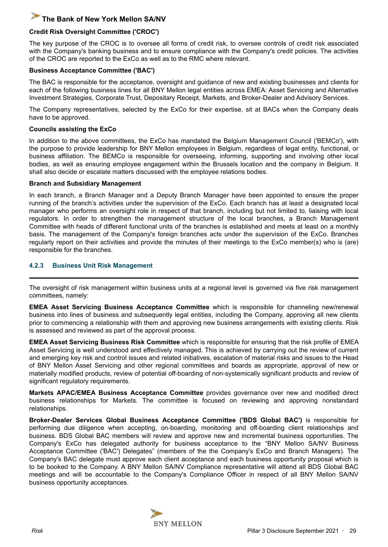#### **Credit Risk Oversight Committee ('CROC')**

The key purpose of the CROC is to oversee all forms of credit risk, to oversee controls of credit risk associated with the Company's banking business and to ensure compliance with the Company's credit policies. The activities of the CROC are reported to the ExCo as well as to the RMC where relevant.

#### **Business Acceptance Committee ('BAC')**

The BAC is responsible for the acceptance, oversight and guidance of new and existing businesses and clients for each of the following business lines for all BNY Mellon legal entities across EMEA: Asset Servicing and Alternative Investment Strategies, Corporate Trust, Depositary Receipt, Markets, and Broker-Dealer and Advisory Services.

The Company representatives, selected by the ExCo for their expertise, sit at BACs when the Company deals have to be approved.

#### **Councils assisting the ExCo**

In addition to the above committees, the ExCo has mandated the Belgium Management Council ('BEMCo'), with the purpose to provide leadership for BNY Mellon employees in Belgium, regardless of legal entity, functional, or business affiliation. The BEMCo is responsible for overseeing, informing, supporting and involving other local bodies, as well as ensuring employee engagement within the Brussels location and the company in Belgium. It shall also decide or escalate matters discussed with the employee relations bodies.

#### **Branch and Subsidiary Management**

In each branch, a Branch Manager and a Deputy Branch Manager have been appointed to ensure the proper running of the branch's activities under the supervision of the ExCo. Each branch has at least a designated local manager who performs an oversight role in respect of that branch, including but not limited to, liaising with local regulators. In order to strengthen the management structure of the local branches, a Branch Management Committee with heads of different functional units of the branches is established and meets at least on a monthly basis. The management of the Company's foreign branches acts under the supervision of the ExCo. Branches regularly report on their activities and provide the minutes of their meetings to the ExCo member(s) who is (are) responsible for the branches.

#### **4.2.3 Business Unit Risk Management**

The oversight of risk management within business units at a regional level is governed via five risk management committees, namely:

**EMEA Asset Servicing Business Acceptance Committee** which is responsible for channeling new/renewal business into lines of business and subsequently legal entities, including the Company, approving all new clients prior to commencing a relationship with them and approving new business arrangements with existing clients. Risk is assessed and reviewed as part of the approval process.

**EMEA Asset Servicing Business Risk Committee** which is responsible for ensuring that the risk profile of EMEA Asset Servicing is well understood and effectively managed. This is achieved by carrying out the review of current and emerging key risk and control issues and related initiatives, escalation of material risks and issues to the Head of BNY Mellon Asset Servicing and other regional committees and boards as appropriate, approval of new or materially modified products, review of potential off-boarding of non-systemically significant products and review of significant regulatory requirements.

**Markets APAC/EMEA Business Acceptance Committee** provides governance over new and modified direct business relationships for Markets. The committee is focused on reviewing and approving nonstandard relationships.

**Broker-Dealer Services Global Business Acceptance Committee ('BDS Global BAC')** is responsible for performing due diligence when accepting, on-boarding, monitoring and off-boarding client relationships and business. BDS Global BAC members will review and approve new and incremental business opportunities. The Company's ExCo has delegated authority for business acceptance to the "BNY Mellon SA/NV Business Acceptance Committee ('BAC') Delegates" (members of the the Company's ExCo and Branch Managers). The Company's BAC delegate must approve each client acceptance and each business opportunity proposal which is to be booked to the Company. A BNY Mellon SA/NV Compliance representative will attend all BDS Global BAC meetings and will be accountable to the Company's Compliance Officer in respect of all BNY Mellon SA/NV business opportunity acceptances.

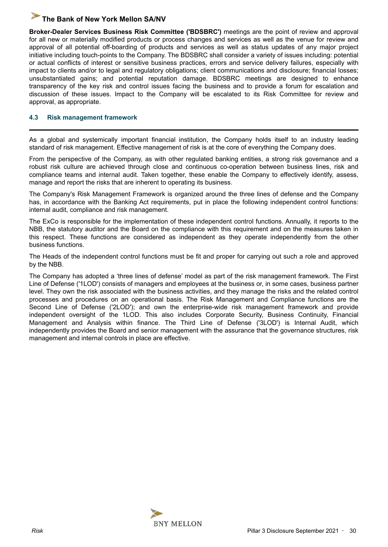<span id="page-29-0"></span>**Broker-Dealer Services Business Risk Committee ('BDSBRC')** meetings are the point of review and approval for all new or materially modified products or process changes and services as well as the venue for review and approval of all potential off-boarding of products and services as well as status updates of any major project initiative including touch-points to the Company. The BDSBRC shall consider a variety of issues including: potential or actual conflicts of interest or sensitive business practices, errors and service delivery failures, especially with impact to clients and/or to legal and regulatory obligations; client communications and disclosure; financial losses; unsubstantiated gains; and potential reputation damage. BDSBRC meetings are designed to enhance transparency of the key risk and control issues facing the business and to provide a forum for escalation and discussion of these issues. Impact to the Company will be escalated to its Risk Committee for review and approval, as appropriate.

#### **4.3 Risk management framework**

As a global and systemically important financial institution, the Company holds itself to an industry leading standard of risk management. Effective management of risk is at the core of everything the Company does.

From the perspective of the Company, as with other regulated banking entities, a strong risk governance and a robust risk culture are achieved through close and continuous co-operation between business lines, risk and compliance teams and internal audit. Taken together, these enable the Company to effectively identify, assess, manage and report the risks that are inherent to operating its business.

The Company's Risk Management Framework is organized around the three lines of defense and the Company has, in accordance with the Banking Act requirements, put in place the following independent control functions: internal audit, compliance and risk management.

The ExCo is responsible for the implementation of these independent control functions. Annually, it reports to the NBB, the statutory auditor and the Board on the compliance with this requirement and on the measures taken in this respect. These functions are considered as independent as they operate independently from the other business functions.

The Heads of the independent control functions must be fit and proper for carrying out such a role and approved by the NBB.

The Company has adopted a 'three lines of defense' model as part of the risk management framework. The First Line of Defense ('1LOD') consists of managers and employees at the business or, in some cases, business partner level. They own the risk associated with the business activities, and they manage the risks and the related control processes and procedures on an operational basis. The Risk Management and Compliance functions are the Second Line of Defense ('2LOD'); and own the enterprise-wide risk management framework and provide independent oversight of the 1LOD. This also includes Corporate Security, Business Continuity, Financial Management and Analysis within finance. The Third Line of Defense ('3LOD') is Internal Audit, which independently provides the Board and senior management with the assurance that the governance structures, risk management and internal controls in place are effective.

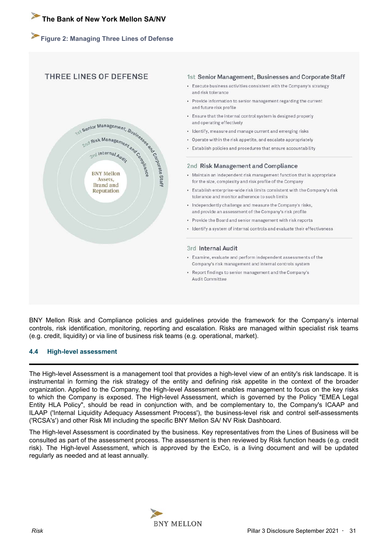#### <span id="page-30-0"></span>**Figure 2: Managing Three Lines of Defense**

#### THREE LINES OF DEFENSE

# $\begin{array}{cccccc}\n\text{Sch}^{\text{S}} & \text{Sch}^{\text{S}}\text{C} & \text{M} & \text{Sch}^{\text{S}}\text{C} & \text{Sch}^{\text{S}}\text{C} & \text{Sch}^{\text{S}}\text{C} & \text{Sch}^{\text{S}}\text{C} & \text{Sch}^{\text{S}}\text{C} & \text{Sch}^{\text{S}}\text{C} & \text{Sch}^{\text{S}}\text{C} & \text{Sch}^{\text{S}}\text{C} & \text{Sch}^{\text{S}}\text{C} & \text{Sch}^{\text{S}}$ Reputation

#### 1st Senior Management, Businesses and Corporate Staff

- Execute business activities consistent with the Company's strategy and risk tolerance
- Provide information to senior management regarding the current and future risk profile
- Ensure that the internal control system is designed properly and operating effectively
- · Identify, measure and manage current and emerging risks
- Operate within the risk appetite, and escalate appropriately
- Establish policies and procedures that ensure accountability

#### 2nd Risk Management and Compliance

- Maintain an independent risk management function that is appropriate for the size, complexity and risk profile of the Company
- Establish enterprise-wide risk limits consistent with the Company's risk tolerance and monitor adherence to such limits
- Independently challenge and measure the Company's risks, and provide an assessment of the Company's risk profile
- Provide the Board and senior management with risk reports
- · Identify a system of internal controls and evaluate their effectiveness

#### 3rd Internal Audit

- Examine, evaluate and perform independent assessments of the Company's risk management and internal controls system
- Report findings to senior management and the Company's Audit Committee

BNY Mellon Risk and Compliance policies and guidelines provide the framework for the Company's internal controls, risk identification, monitoring, reporting and escalation. Risks are managed within specialist risk teams (e.g. credit, liquidity) or via line of business risk teams (e.g. operational, market).

#### **4.4 High-level assessment**

The High-level Assessment is a management tool that provides a high-level view of an entity's risk landscape. It is instrumental in forming the risk strategy of the entity and defining risk appetite in the context of the broader organization. Applied to the Company, the High-level Assessment enables management to focus on the key risks to which the Company is exposed. The High-level Assessment, which is governed by the Policy "EMEA Legal Entity HLA Policy", should be read in conjunction with, and be complementary to, the Company's ICAAP and ILAAP ('Internal Liquidity Adequacy Assessment Process'), the business-level risk and control self-assessments ('RCSA's') and other Risk MI including the specific BNY Mellon SA/ NV Risk Dashboard.

The High-level Assessment is coordinated by the business. Key representatives from the Lines of Business will be consulted as part of the assessment process. The assessment is then reviewed by Risk function heads (e.g. credit risk). The High-level Assessment, which is approved by the ExCo, is a living document and will be updated regularly as needed and at least annually.

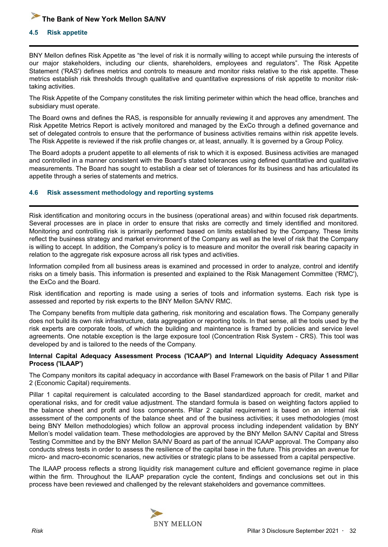#### <span id="page-31-0"></span>**4.5 Risk appetite**

BNY Mellon defines Risk Appetite as "the level of risk it is normally willing to accept while pursuing the interests of our major stakeholders, including our clients, shareholders, employees and regulators". The Risk Appetite Statement ('RAS') defines metrics and controls to measure and monitor risks relative to the risk appetite. These metrics establish risk thresholds through qualitative and quantitative expressions of risk appetite to monitor risktaking activities.

The Risk Appetite of the Company constitutes the risk limiting perimeter within which the head office, branches and subsidiary must operate.

The Board owns and defines the RAS, is responsible for annually reviewing it and approves any amendment. The Risk Appetite Metrics Report is actively monitored and managed by the ExCo through a defined governance and set of delegated controls to ensure that the performance of business activities remains within risk appetite levels. The Risk Appetite is reviewed if the risk profile changes or, at least, annually. It is governed by a Group Policy.

The Board adopts a prudent appetite to all elements of risk to which it is exposed. Business activities are managed and controlled in a manner consistent with the Board's stated tolerances using defined quantitative and qualitative measurements. The Board has sought to establish a clear set of tolerances for its business and has articulated its appetite through a series of statements and metrics.

#### **4.6 Risk assessment methodology and reporting systems**

Risk identification and monitoring occurs in the business (operational areas) and within focused risk departments. Several processes are in place in order to ensure that risks are correctly and timely identified and monitored. Monitoring and controlling risk is primarily performed based on limits established by the Company. These limits reflect the business strategy and market environment of the Company as well as the level of risk that the Company is willing to accept. In addition, the Company's policy is to measure and monitor the overall risk bearing capacity in relation to the aggregate risk exposure across all risk types and activities.

Information compiled from all business areas is examined and processed in order to analyze, control and identify risks on a timely basis. This information is presented and explained to the Risk Management Committee ('RMC'), the ExCo and the Board.

Risk identification and reporting is made using a series of tools and information systems. Each risk type is assessed and reported by risk experts to the BNY Mellon SA/NV RMC.

The Company benefits from multiple data gathering, risk monitoring and escalation flows. The Company generally does not build its own risk infrastructure, data aggregation or reporting tools. In that sense, all the tools used by the risk experts are corporate tools, of which the building and maintenance is framed by policies and service level agreements. One notable exception is the large exposure tool (Concentration Risk System - CRS). This tool was developed by and is tailored to the needs of the Company.

#### **Internal Capital Adequacy Assessment Process ('ICAAP') and Internal Liquidity Adequacy Assessment Process ('ILAAP')**

The Company monitors its capital adequacy in accordance with Basel Framework on the basis of Pillar 1 and Pillar 2 (Economic Capital) requirements.

Pillar 1 capital requirement is calculated according to the Basel standardized approach for credit, market and operational risks, and for credit value adjustment. The standard formula is based on weighting factors applied to the balance sheet and profit and loss components. Pillar 2 capital requirement is based on an internal risk assessment of the components of the balance sheet and of the business activities; it uses methodologies (most being BNY Mellon methodologies) which follow an approval process including independent validation by BNY Mellon's model validation team. These methodologies are approved by the BNY Mellon SA/NV Capital and Stress Testing Committee and by the BNY Mellon SA/NV Board as part of the annual ICAAP approval. The Company also conducts stress tests in order to assess the resilience of the capital base in the future. This provides an avenue for micro- and macro-economic scenarios, new activities or strategic plans to be assessed from a capital perspective.

The ILAAP process reflects a strong liquidity risk management culture and efficient governance regime in place within the firm. Throughout the ILAAP preparation cycle the content, findings and conclusions set out in this process have been reviewed and challenged by the relevant stakeholders and governance committees.

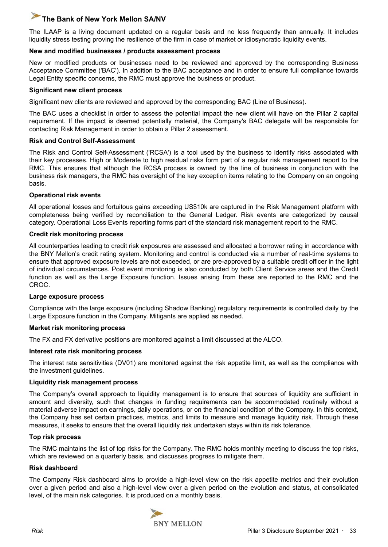The ILAAP is a living document updated on a regular basis and no less frequently than annually. It includes liquidity stress testing proving the resilience of the firm in case of market or idiosyncratic liquidity events.

#### **New and modified businesses / products assessment process**

New or modified products or businesses need to be reviewed and approved by the corresponding Business Acceptance Committee ('BAC'). In addition to the BAC acceptance and in order to ensure full compliance towards Legal Entity specific concerns, the RMC must approve the business or product.

#### **Significant new client process**

Significant new clients are reviewed and approved by the corresponding BAC (Line of Business).

The BAC uses a checklist in order to assess the potential impact the new client will have on the Pillar 2 capital requirement. If the impact is deemed potentially material, the Company's BAC delegate will be responsible for contacting Risk Management in order to obtain a Pillar 2 assessment.

#### **Risk and Control Self-Assessment**

The Risk and Control Self-Assessment ('RCSA') is a tool used by the business to identify risks associated with their key processes. High or Moderate to high residual risks form part of a regular risk management report to the RMC. This ensures that although the RCSA process is owned by the line of business in conjunction with the business risk managers, the RMC has oversight of the key exception items relating to the Company on an ongoing basis.

#### **Operational risk events**

All operational losses and fortuitous gains exceeding US\$10k are captured in the Risk Management platform with completeness being verified by reconciliation to the General Ledger. Risk events are categorized by causal category. Operational Loss Events reporting forms part of the standard risk management report to the RMC.

#### **Credit risk monitoring process**

All counterparties leading to credit risk exposures are assessed and allocated a borrower rating in accordance with the BNY Mellon's credit rating system. Monitoring and control is conducted via a number of real-time systems to ensure that approved exposure levels are not exceeded, or are pre-approved by a suitable credit officer in the light of individual circumstances. Post event monitoring is also conducted by both Client Service areas and the Credit function as well as the Large Exposure function. Issues arising from these are reported to the RMC and the CROC.

#### **Large exposure process**

Compliance with the large exposure (including Shadow Banking) regulatory requirements is controlled daily by the Large Exposure function in the Company. Mitigants are applied as needed.

#### **Market risk monitoring process**

The FX and FX derivative positions are monitored against a limit discussed at the ALCO.

#### **Interest rate risk monitoring process**

The interest rate sensitivities (DV01) are monitored against the risk appetite limit, as well as the compliance with the investment guidelines.

#### **Liquidity risk management process**

The Company's overall approach to liquidity management is to ensure that sources of liquidity are sufficient in amount and diversity, such that changes in funding requirements can be accommodated routinely without a material adverse impact on earnings, daily operations, or on the financial condition of the Company. In this context, the Company has set certain practices, metrics, and limits to measure and manage liquidity risk. Through these measures, it seeks to ensure that the overall liquidity risk undertaken stays within its risk tolerance.

#### **Top risk process**

The RMC maintains the list of top risks for the Company. The RMC holds monthly meeting to discuss the top risks, which are reviewed on a quarterly basis, and discusses progress to mitigate them.

#### **Risk dashboard**

The Company Risk dashboard aims to provide a high-level view on the risk appetite metrics and their evolution over a given period and also a high-level view over a given period on the evolution and status, at consolidated level, of the main risk categories. It is produced on a monthly basis.

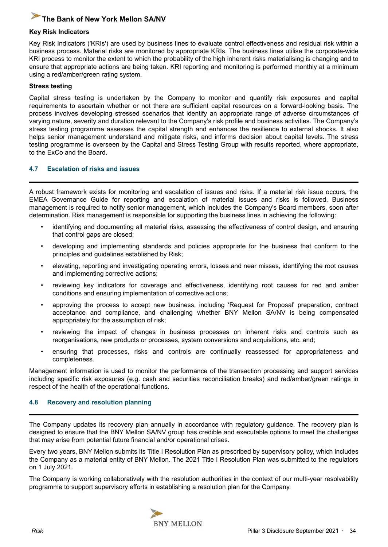#### <span id="page-33-0"></span>**Key Risk Indicators**

Key Risk Indicators ('KRIs') are used by business lines to evaluate control effectiveness and residual risk within a business process. Material risks are monitored by appropriate KRIs. The business lines utilise the corporate-wide KRI process to monitor the extent to which the probability of the high inherent risks materialising is changing and to ensure that appropriate actions are being taken. KRI reporting and monitoring is performed monthly at a minimum using a red/amber/green rating system.

#### **Stress testing**

Capital stress testing is undertaken by the Company to monitor and quantify risk exposures and capital requirements to ascertain whether or not there are sufficient capital resources on a forward-looking basis. The process involves developing stressed scenarios that identify an appropriate range of adverse circumstances of varying nature, severity and duration relevant to the Company's risk profile and business activities. The Company's stress testing programme assesses the capital strength and enhances the resilience to external shocks. It also helps senior management understand and mitigate risks, and informs decision about capital levels. The stress testing programme is overseen by the Capital and Stress Testing Group with results reported, where appropriate, to the ExCo and the Board.

#### **4.7 Escalation of risks and issues**

A robust framework exists for monitoring and escalation of issues and risks. If a material risk issue occurs, the EMEA Governance Guide for reporting and escalation of material issues and risks is followed. Business management is required to notify senior management, which includes the Company's Board members, soon after determination. Risk management is responsible for supporting the business lines in achieving the following:

- identifying and documenting all material risks, assessing the effectiveness of control design, and ensuring that control gaps are closed;
- developing and implementing standards and policies appropriate for the business that conform to the principles and guidelines established by Risk;
- elevating, reporting and investigating operating errors, losses and near misses, identifying the root causes and implementing corrective actions;
- reviewing key indicators for coverage and effectiveness, identifying root causes for red and amber conditions and ensuring implementation of corrective actions;
- approving the process to accept new business, including 'Request for Proposal' preparation, contract acceptance and compliance, and challenging whether BNY Mellon SA/NV is being compensated appropriately for the assumption of risk;
- reviewing the impact of changes in business processes on inherent risks and controls such as reorganisations, new products or processes, system conversions and acquisitions, etc. and;
- ensuring that processes, risks and controls are continually reassessed for appropriateness and completeness.

Management information is used to monitor the performance of the transaction processing and support services including specific risk exposures (e.g. cash and securities reconciliation breaks) and red/amber/green ratings in respect of the health of the operational functions.

#### **4.8 Recovery and resolution planning**

The Company updates its recovery plan annually in accordance with regulatory guidance. The recovery plan is designed to ensure that the BNY Mellon SA/NV group has credible and executable options to meet the challenges that may arise from potential future financial and/or operational crises.

Every two years, BNY Mellon submits its Title I Resolution Plan as prescribed by supervisory policy, which includes the Company as a material entity of BNY Mellon. The 2021 Title I Resolution Plan was submitted to the regulators on 1 July 2021.

The Company is working collaboratively with the resolution authorities in the context of our multi-year resolvability programme to support supervisory efforts in establishing a resolution plan for the Company.

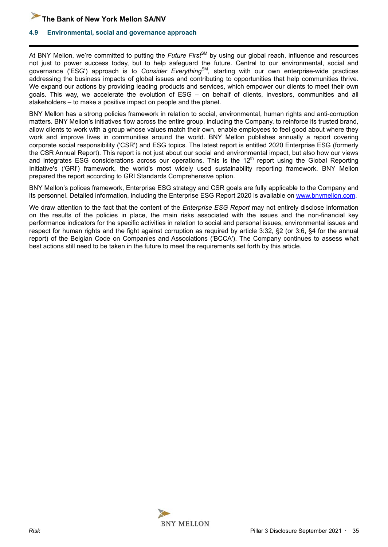<span id="page-34-0"></span>

#### **4.9 Environmental, social and governance approach**

At BNY Mellon, we're committed to putting the *Future First<sup>SM</sup>* by using our global reach, influence and resources not just to power success today, but to help safeguard the future. Central to our environmental, social and governance ('ESG') approach is to *Consider Everything*SM *,* starting with our own enterprise-wide practices addressing the business impacts of global issues and contributing to opportunities that help communities thrive. We expand our actions by providing leading products and services, which empower our clients to meet their own goals. This way, we accelerate the evolution of ESG – on behalf of clients, investors, communities and all stakeholders – to make a positive impact on people and the planet.

BNY Mellon has a strong policies framework in relation to social, environmental, human rights and anti-corruption matters. BNY Mellon's initiatives flow across the entire group, including the Company, to reinforce its trusted brand, allow clients to work with a group whose values match their own, enable employees to feel good about where they work and improve lives in communities around the world. BNY Mellon publishes annually a report covering corporate social responsibility ('CSR') and ESG topics. The latest report is entitled 2020 Enterprise ESG (formerly the CSR Annual Report). This report is not just about our social and environmental impact, but also how our views and integrates ESG considerations across our operations. This is the  $12<sup>th</sup>$  report using the Global Reporting Initiative's ('GRI') framework, the world's most widely used sustainability reporting framework. BNY Mellon prepared the report according to GRI Standards Comprehensive option.

BNY Mellon's polices framework, Enterprise ESG strategy and CSR goals are fully applicable to the Company and its personnel. Detailed information, including the Enterprise ESG Report 2020 is available on [www.bnymellon.com.](www.bnymellon.com)

We draw attention to the fact that the content of the *Enterprise ESG Report* may not entirely disclose information on the results of the policies in place, the main risks associated with the issues and the non-financial key performance indicators for the specific activities in relation to social and personal issues, environmental issues and respect for human rights and the fight against corruption as required by article 3:32, §2 (or 3:6, §4 for the annual report) of the Belgian Code on Companies and Associations ('BCCA'). The Company continues to assess what best actions still need to be taken in the future to meet the requirements set forth by this article.

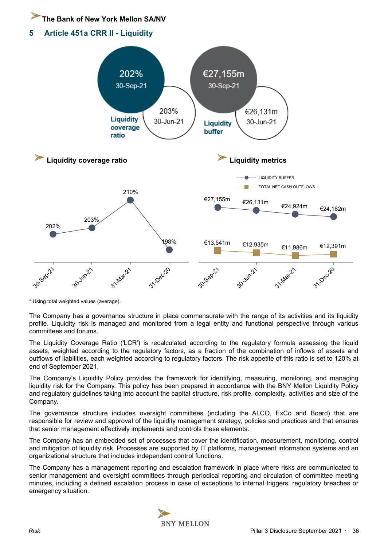<span id="page-35-0"></span>**5 Article 451a CRR II - Liquidity** 



\* Using total weighted values (average).

The Company has a governance structure in place commensurate with the range of its activities and its liquidity profile. Liquidity risk is managed and monitored from a legal entity and functional perspective through various committees and forums.

The Liquidity Coverage Ratio ('LCR') is recalculated according to the regulatory formula assessing the liquid assets, weighted according to the regulatory factors, as a fraction of the combination of inflows of assets and outflows of liabilities, each weighted according to regulatory factors. The risk appetite of this ratio is set to 120% at end of September 2021.

The Company's Liquidity Policy provides the framework for identifying, measuring, monitoring, and managing liquidity risk for the Company. This policy has been prepared in accordance with the BNY Mellon Liquidity Policy and regulatory guidelines taking into account the capital structure, risk profile, complexity, activities and size of the Company.

The governance structure includes oversight committees (including the ALCO, ExCo and Board) that are responsible for review and approval of the liquidity management strategy, policies and practices and that ensures that senior management effectively implements and controls these elements.

The Company has an embedded set of processes that cover the identification, measurement, monitoring, control and mitigation of liquidity risk. Processes are supported by IT platforms, management information systems and an organizational structure that includes independent control functions.

The Company has a management reporting and escalation framework in place where risks are communicated to senior management and oversight committees through periodical reporting and circulation of committee meeting minutes, including a defined escalation process in case of exceptions to internal triggers, regulatory breaches or emergency situation.

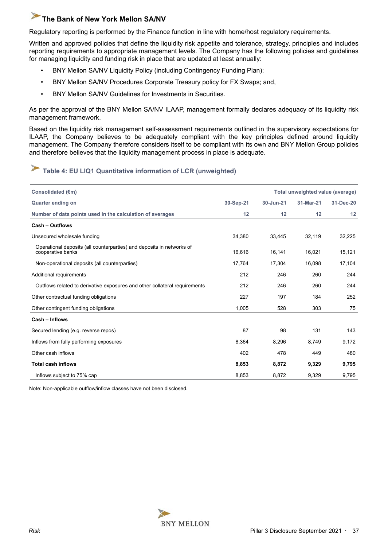<span id="page-36-0"></span>Regulatory reporting is performed by the Finance function in line with home/host regulatory requirements.

Written and approved policies that define the liquidity risk appetite and tolerance, strategy, principles and includes reporting requirements to appropriate management levels. The Company has the following policies and guidelines for managing liquidity and funding risk in place that are updated at least annually:

- BNY Mellon SA/NV Liquidity Policy (including Contingency Funding Plan);
- BNY Mellon SA/NV Procedures Corporate Treasury policy for FX Swaps; and,
- BNY Mellon SA/NV Guidelines for Investments in Securities.

As per the approval of the BNY Mellon SA/NV ILAAP, management formally declares adequacy of its liquidity risk management framework.

Based on the liquidity risk management self-assessment requirements outlined in the supervisory expectations for ILAAP, the Company believes to be adequately compliant with the key principles defined around liquidity management. The Company therefore considers itself to be compliant with its own and BNY Mellon Group policies and therefore believes that the liquidity management process in place is adequate.

# **Table 4: EU LIQ1 Quantitative information of LCR (unweighted)**

| Consolidated (€m)                                                                          |           |           | Total unweighted value (average) |           |
|--------------------------------------------------------------------------------------------|-----------|-----------|----------------------------------|-----------|
| <b>Quarter ending on</b>                                                                   | 30-Sep-21 | 30-Jun-21 | 31-Mar-21                        | 31-Dec-20 |
| Number of data points used in the calculation of averages                                  | 12        | 12        | 12                               | 12        |
| <b>Cash - Outflows</b>                                                                     |           |           |                                  |           |
| Unsecured wholesale funding                                                                | 34,380    | 33,445    | 32,119                           | 32,225    |
| Operational deposits (all counterparties) and deposits in networks of<br>cooperative banks | 16,616    | 16,141    | 16,021                           | 15,121    |
| Non-operational deposits (all counterparties)                                              | 17,764    | 17,304    | 16,098                           | 17,104    |
| Additional requirements                                                                    | 212       | 246       | 260                              | 244       |
| Outflows related to derivative exposures and other collateral requirements                 | 212       | 246       | 260                              | 244       |
| Other contractual funding obligations                                                      | 227       | 197       | 184                              | 252       |
| Other contingent funding obligations                                                       | 1,005     | 528       | 303                              | 75        |
| Cash - Inflows                                                                             |           |           |                                  |           |
| Secured lending (e.g. reverse repos)                                                       | 87        | 98        | 131                              | 143       |
| Inflows from fully performing exposures                                                    | 8,364     | 8,296     | 8,749                            | 9,172     |
| Other cash inflows                                                                         | 402       | 478       | 449                              | 480       |
| <b>Total cash inflows</b>                                                                  | 8,853     | 8,872     | 9,329                            | 9,795     |
| Inflows subject to 75% cap                                                                 | 8,853     | 8,872     | 9,329                            | 9,795     |

Note: Non-applicable outflow/inflow classes have not been disclosed.

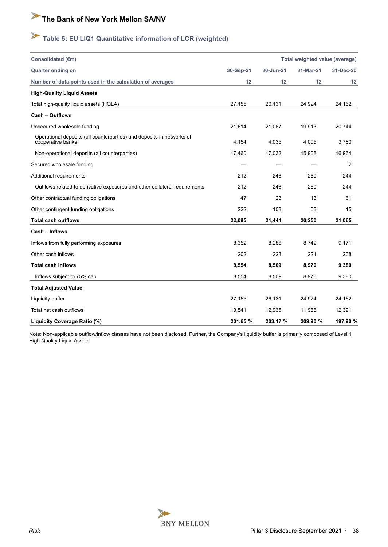# <span id="page-37-0"></span>**Table 5: EU LIQ1 Quantitative information of LCR (weighted)**

| Consolidated (€m)                                                                          |           |           | Total weighted value (average) |           |
|--------------------------------------------------------------------------------------------|-----------|-----------|--------------------------------|-----------|
| <b>Quarter ending on</b>                                                                   | 30-Sep-21 | 30-Jun-21 | 31-Mar-21                      | 31-Dec-20 |
| Number of data points used in the calculation of averages                                  | 12        | 12        | 12                             | 12        |
| <b>High-Quality Liquid Assets</b>                                                          |           |           |                                |           |
| Total high-quality liquid assets (HQLA)                                                    | 27,155    | 26,131    | 24,924                         | 24,162    |
| <b>Cash - Outflows</b>                                                                     |           |           |                                |           |
| Unsecured wholesale funding                                                                | 21,614    | 21,067    | 19,913                         | 20,744    |
| Operational deposits (all counterparties) and deposits in networks of<br>cooperative banks | 4.154     | 4.035     | 4.005                          | 3,780     |
| Non-operational deposits (all counterparties)                                              | 17,460    | 17,032    | 15,908                         | 16,964    |
| Secured wholesale funding                                                                  |           |           |                                | 2         |
| Additional requirements                                                                    | 212       | 246       | 260                            | 244       |
| Outflows related to derivative exposures and other collateral requirements                 | 212       | 246       | 260                            | 244       |
| Other contractual funding obligations                                                      | 47        | 23        | 13                             | 61        |
| Other contingent funding obligations                                                       | 222       | 108       | 63                             | 15        |
| <b>Total cash outflows</b>                                                                 | 22,095    | 21,444    | 20,250                         | 21,065    |
| Cash - Inflows                                                                             |           |           |                                |           |
| Inflows from fully performing exposures                                                    | 8,352     | 8,286     | 8,749                          | 9,171     |
| Other cash inflows                                                                         | 202       | 223       | 221                            | 208       |
| <b>Total cash inflows</b>                                                                  | 8,554     | 8,509     | 8,970                          | 9,380     |
| Inflows subject to 75% cap                                                                 | 8,554     | 8,509     | 8,970                          | 9,380     |
| <b>Total Adjusted Value</b>                                                                |           |           |                                |           |
| Liquidity buffer                                                                           | 27,155    | 26,131    | 24,924                         | 24,162    |
| Total net cash outflows                                                                    | 13,541    | 12,935    | 11,986                         | 12,391    |
| Liquidity Coverage Ratio (%)                                                               | 201.65 %  | 203.17 %  | 209.90 %                       | 197.90 %  |

Note: Non-applicable outflow/inflow classes have not been disclosed. Further, the Company's liquidity buffer is primarily composed of Level 1 High Quality Liquid Assets.

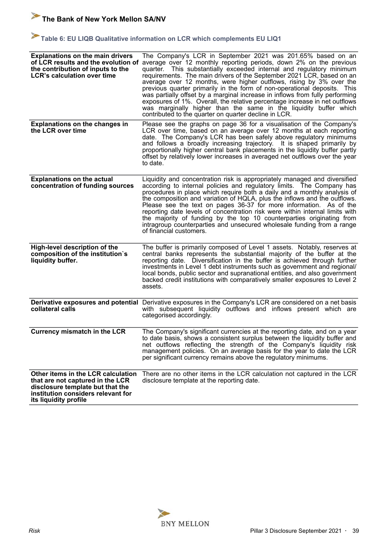# <span id="page-38-0"></span>Table 6: EU LIQB Qualitative information on LCR which complements EU LIQ1

| <b>Explanations on the main drivers</b><br>of LCR results and the evolution of<br>the contribution of inputs to the<br><b>LCR's calculation over time</b>                 | The Company's LCR in September 2021 was 201.65% based on an<br>average over 12 monthly reporting periods, down 2% on the previous<br>quarter. This substantially exceeded internal and regulatory minimum<br>requirements. The main drivers of the September 2021 LCR, based on an<br>average over 12 months, were higher outflows, rising by 3% over the<br>previous quarter primarily in the form of non-operational deposits. This<br>was partially offset by a marginal increase in inflows from fully performing<br>exposures of 1%. Overall, the relative percentage increase in net outflows<br>was marginally higher than the same in the liquidity buffer which<br>contributed to the quarter on quarter decline in LCR. |
|---------------------------------------------------------------------------------------------------------------------------------------------------------------------------|-----------------------------------------------------------------------------------------------------------------------------------------------------------------------------------------------------------------------------------------------------------------------------------------------------------------------------------------------------------------------------------------------------------------------------------------------------------------------------------------------------------------------------------------------------------------------------------------------------------------------------------------------------------------------------------------------------------------------------------|
| <b>Explanations on the changes in</b><br>the LCR over time                                                                                                                | Please see the graphs on page 36 for a visualisation of the Company's<br>LCR over time, based on an average over 12 months at each reporting<br>date. The Company's LCR has been safely above regulatory minimums<br>and follows a broadly increasing trajectory. It is shaped primarily by<br>proportionally higher central bank placements in the liquidity buffer partly<br>offset by relatively lower increases in averaged net outflows over the year<br>to date.                                                                                                                                                                                                                                                            |
| <b>Explanations on the actual</b><br>concentration of funding sources                                                                                                     | Liquidity and concentration risk is appropriately managed and diversified<br>according to internal policies and regulatory limits. The Company has<br>procedures in place which require both a daily and a monthly analysis of<br>the composition and variation of HQLA, plus the inflows and the outflows.<br>Please see the text on pages 36-37 for more information. As of the<br>reporting date levels of concentration risk were within internal limits with<br>the majority of funding by the top 10 counterparties originating from<br>intragroup counterparties and unsecured wholesale funding from a range<br>of financial customers.                                                                                   |
| High-level description of the<br>composition of the institution's<br>liquidity buffer.                                                                                    | The buffer is primarily composed of Level 1 assets. Notably, reserves at<br>central banks represents the substantial majority of the buffer at the<br>reporting date. Diversification in the buffer is achieved through further<br>investments in Level 1 debt instruments such as government and regional/<br>local bonds, public sector and supranational entities, and also government<br>backed credit institutions with comparatively smaller exposures to Level 2<br>assets.                                                                                                                                                                                                                                                |
| collateral calls                                                                                                                                                          | Derivative exposures and potential Derivative exposures in the Company's LCR are considered on a net basis<br>with subsequent liquidity outflows and inflows present which are<br>categorised accordingly.                                                                                                                                                                                                                                                                                                                                                                                                                                                                                                                        |
| <b>Currency mismatch in the LCR</b>                                                                                                                                       | The Company's significant currencies at the reporting date, and on a year<br>to date basis, shows a consistent surplus between the liquidity buffer and<br>net outflows reflecting the strength of the Company's liquidity risk<br>management policies. On an average basis for the year to date the LCR<br>per significant currency remains above the regulatory minimums.                                                                                                                                                                                                                                                                                                                                                       |
| Other items in the LCR calculation<br>that are not captured in the LCR<br>disclosure template but that the<br>institution considers relevant for<br>its liquidity profile | There are no other items in the LCR calculation not captured in the LCR<br>disclosure template at the reporting date.                                                                                                                                                                                                                                                                                                                                                                                                                                                                                                                                                                                                             |

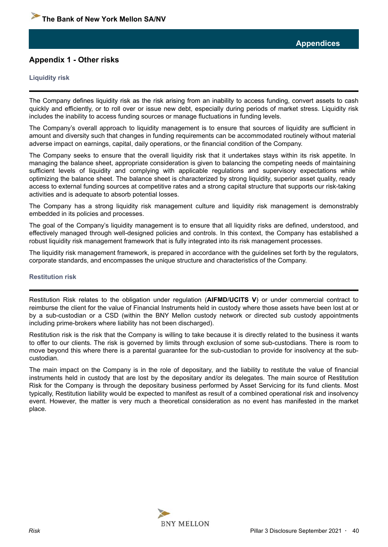#### <span id="page-39-0"></span>**Appendix 1 - Other risks**

#### **Liquidity risk**

The Company defines liquidity risk as the risk arising from an inability to access funding, convert assets to cash quickly and efficiently, or to roll over or issue new debt, especially during periods of market stress. Liquidity risk includes the inability to access funding sources or manage fluctuations in funding levels.

The Company's overall approach to liquidity management is to ensure that sources of liquidity are sufficient in amount and diversity such that changes in funding requirements can be accommodated routinely without material adverse impact on earnings, capital, daily operations, or the financial condition of the Company.

The Company seeks to ensure that the overall liquidity risk that it undertakes stays within its risk appetite. In managing the balance sheet, appropriate consideration is given to balancing the competing needs of maintaining sufficient levels of liquidity and complying with applicable regulations and supervisory expectations while optimizing the balance sheet. The balance sheet is characterized by strong liquidity, superior asset quality, ready access to external funding sources at competitive rates and a strong capital structure that supports our risk-taking activities and is adequate to absorb potential losses.

The Company has a strong liquidity risk management culture and liquidity risk management is demonstrably embedded in its policies and processes.

The goal of the Company's liquidity management is to ensure that all liquidity risks are defined, understood, and effectively managed through well-designed policies and controls. In this context, the Company has established a robust liquidity risk management framework that is fully integrated into its risk management processes.

The liquidity risk management framework, is prepared in accordance with the guidelines set forth by the regulators, corporate standards, and encompasses the unique structure and characteristics of the Company.

#### **Restitution risk**

Restitution Risk relates to the obligation under regulation (**AIFMD**/**UCITS V**) or under commercial contract to reimburse the client for the value of Financial Instruments held in custody where those assets have been lost at or by a sub-custodian or a CSD (within the BNY Mellon custody network or directed sub custody appointments including prime-brokers where liability has not been discharged).

Restitution risk is the risk that the Company is willing to take because it is directly related to the business it wants to offer to our clients. The risk is governed by limits through exclusion of some sub-custodians. There is room to move beyond this where there is a parental guarantee for the sub-custodian to provide for insolvency at the subcustodian.

The main impact on the Company is in the role of depositary, and the liability to restitute the value of financial instruments held in custody that are lost by the depositary and/or its delegates. The main source of Restitution Risk for the Company is through the depositary business performed by Asset Servicing for its fund clients. Most typically, Restitution liability would be expected to manifest as result of a combined operational risk and insolvency event. However, the matter is very much a theoretical consideration as no event has manifested in the market place.

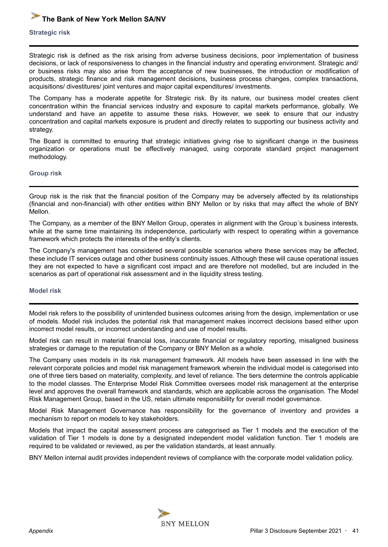#### <span id="page-40-0"></span>**Strategic risk**

Strategic risk is defined as the risk arising from adverse business decisions, poor implementation of business decisions, or lack of responsiveness to changes in the financial industry and operating environment. Strategic and/ or business risks may also arise from the acceptance of new businesses, the introduction or modification of products, strategic finance and risk management decisions, business process changes, complex transactions, acquisitions/ divestitures/ joint ventures and major capital expenditures/ investments.

The Company has a moderate appetite for Strategic risk. By its nature, our business model creates client concentration within the financial services industry and exposure to capital markets performance, globally. We understand and have an appetite to assume these risks. However, we seek to ensure that our industry concentration and capital markets exposure is prudent and directly relates to supporting our business activity and strategy.

The Board is committed to ensuring that strategic initiatives giving rise to significant change in the business organization or operations must be effectively managed, using corporate standard project management methodology.

#### **Group risk**

Group risk is the risk that the financial position of the Company may be adversely affected by its relationships (financial and non-financial) with other entities within BNY Mellon or by risks that may affect the whole of BNY Mellon.

The Company, as a member of the BNY Mellon Group, operates in alignment with the Group´s business interests, while at the same time maintaining its independence, particularly with respect to operating within a governance framework which protects the interests of the entity's clients.

The Company's management has considered several possible scenarios where these services may be affected, these include IT services outage and other business continuity issues. Although these will cause operational issues they are not expected to have a significant cost impact and are therefore not modelled, but are included in the scenarios as part of operational risk assessment and in the liquidity stress testing.

#### **Model risk**

Model risk refers to the possibility of unintended business outcomes arising from the design, implementation or use of models. Model risk includes the potential risk that management makes incorrect decisions based either upon incorrect model results, or incorrect understanding and use of model results.

Model risk can result in material financial loss, inaccurate financial or regulatory reporting, misaligned business strategies or damage to the reputation of the Company or BNY Mellon as a whole.

The Company uses models in its risk management framework. All models have been assessed in line with the relevant corporate policies and model risk management framework wherein the individual model is categorised into one of three tiers based on materiality, complexity, and level of reliance. The tiers determine the controls applicable to the model classes. The Enterprise Model Risk Committee oversees model risk management at the enterprise level and approves the overall framework and standards, which are applicable across the organisation. The Model Risk Management Group, based in the US, retain ultimate responsibility for overall model governance.

Model Risk Management Governance has responsibility for the governance of inventory and provides a mechanism to report on models to key stakeholders.

Models that impact the capital assessment process are categorised as Tier 1 models and the execution of the validation of Tier 1 models is done by a designated independent model validation function. Tier 1 models are required to be validated or reviewed, as per the validation standards, at least annually.

BNY Mellon internal audit provides independent reviews of compliance with the corporate model validation policy.

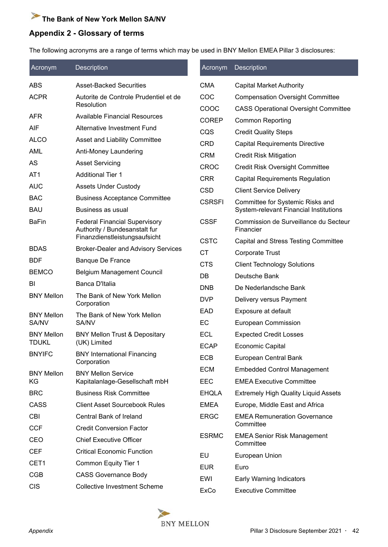#### <span id="page-41-0"></span>**Appendix 2 - Glossary of terms**

The following acronyms are a range of terms which may be used in BNY Mellon EMEA Pillar 3 disclosures:

| Acronym           | Description                                                           | Acronym       | <b>Description</b>                                 |
|-------------------|-----------------------------------------------------------------------|---------------|----------------------------------------------------|
| <b>ABS</b>        | <b>Asset-Backed Securities</b>                                        | <b>CMA</b>    | <b>Capital Market Authority</b>                    |
| <b>ACPR</b>       | Autorite de Controle Prudentiel et de                                 | COC           | <b>Compensation Oversight Committee</b>            |
|                   | Resolution                                                            | COOC          | <b>CASS Operational Oversight Committee</b>        |
| <b>AFR</b>        | <b>Available Financial Resources</b>                                  | <b>COREP</b>  | <b>Common Reporting</b>                            |
| <b>AIF</b>        | Alternative Investment Fund                                           | CQS           | <b>Credit Quality Steps</b>                        |
| <b>ALCO</b>       | Asset and Liability Committee                                         | CRD           | <b>Capital Requirements Directive</b>              |
| AML               | Anti-Money Laundering                                                 | <b>CRM</b>    | <b>Credit Risk Mitigation</b>                      |
| AS                | <b>Asset Servicing</b>                                                | <b>CROC</b>   | <b>Credit Risk Oversight Committee</b>             |
| AT <sub>1</sub>   | <b>Additional Tier 1</b>                                              | <b>CRR</b>    | <b>Capital Requirements Regulation</b>             |
| <b>AUC</b>        | <b>Assets Under Custody</b>                                           | <b>CSD</b>    | <b>Client Service Delivery</b>                     |
| <b>BAC</b>        | <b>Business Acceptance Committee</b>                                  | <b>CSRSFI</b> | Committee for Systemic Risks and                   |
| <b>BAU</b>        | Business as usual                                                     |               | <b>System-relevant Financial Institutions</b>      |
| <b>BaFin</b>      | <b>Federal Financial Supervisory</b><br>Authority / Bundesanstalt fur | <b>CSSF</b>   | Commission de Surveillance du Secteur<br>Financier |
|                   | Finanzdienstleistungsaufsicht                                         | <b>CSTC</b>   | <b>Capital and Stress Testing Committee</b>        |
| <b>BDAS</b>       | <b>Broker-Dealer and Advisory Services</b>                            | <b>CT</b>     | <b>Corporate Trust</b>                             |
| <b>BDF</b>        | <b>Banque De France</b>                                               | <b>CTS</b>    | <b>Client Technology Solutions</b>                 |
| <b>BEMCO</b>      | <b>Belgium Management Council</b>                                     | DB            | Deutsche Bank                                      |
| BI                | Banca D'Italia                                                        | <b>DNB</b>    | De Nederlandsche Bank                              |
| <b>BNY Mellon</b> | The Bank of New York Mellon<br>Corporation                            | <b>DVP</b>    | Delivery versus Payment                            |
| <b>BNY Mellon</b> | The Bank of New York Mellon                                           | <b>EAD</b>    | Exposure at default                                |
| SA/NV             | SA/NV                                                                 | EC            | European Commission                                |
| <b>BNY Mellon</b> | <b>BNY Mellon Trust &amp; Depositary</b>                              | ECL           | <b>Expected Credit Losses</b>                      |
| <b>TDUKL</b>      | (UK) Limited                                                          | <b>ECAP</b>   | Economic Capital                                   |
| <b>BNYIFC</b>     | <b>BNY International Financing</b><br>Corporation                     | <b>ECB</b>    | European Central Bank                              |
| <b>BNY Mellon</b> | <b>BNY Mellon Service</b>                                             | <b>ECM</b>    | <b>Embedded Control Management</b>                 |
| KG                | Kapitalanlage-Gesellschaft mbH                                        | <b>EEC</b>    | <b>EMEA Executive Committee</b>                    |
| <b>BRC</b>        | <b>Business Risk Committee</b>                                        | <b>EHQLA</b>  | <b>Extremely High Quality Liquid Assets</b>        |
| CASS              | <b>Client Asset Sourcebook Rules</b>                                  | <b>EMEA</b>   | Europe, Middle East and Africa                     |
| <b>CBI</b>        | Central Bank of Ireland                                               | <b>ERGC</b>   | <b>EMEA Remuneration Governance</b>                |
| <b>CCF</b>        | <b>Credit Conversion Factor</b>                                       |               | Committee                                          |
| CEO               | <b>Chief Executive Officer</b>                                        | <b>ESRMC</b>  | <b>EMEA Senior Risk Management</b><br>Committee    |
| <b>CEF</b>        | <b>Critical Economic Function</b>                                     | EU            | European Union                                     |
| CET1              | Common Equity Tier 1                                                  | <b>EUR</b>    | Euro                                               |
| <b>CGB</b>        | <b>CASS Governance Body</b>                                           | EWI           | Early Warning Indicators                           |
| <b>CIS</b>        | <b>Collective Investment Scheme</b>                                   | ExCo          | <b>Executive Committee</b>                         |

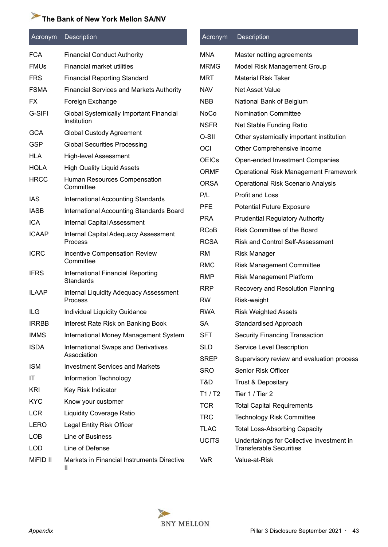| Acronym      | Description                                                   | Acronym                    | <b>Description</b>                                      |
|--------------|---------------------------------------------------------------|----------------------------|---------------------------------------------------------|
| <b>FCA</b>   | <b>Financial Conduct Authority</b>                            | <b>MNA</b>                 | Master netting agreements                               |
| <b>FMUs</b>  | Financial market utilities                                    | <b>MRMG</b>                | Model Risk Management Group                             |
| <b>FRS</b>   | <b>Financial Reporting Standard</b>                           | <b>MRT</b>                 | <b>Material Risk Taker</b>                              |
| <b>FSMA</b>  | <b>Financial Services and Markets Authority</b>               | <b>NAV</b>                 | <b>Net Asset Value</b>                                  |
| FX           | Foreign Exchange                                              | <b>NBB</b>                 | National Bank of Belgium                                |
| G-SIFI       | <b>Global Systemically Important Financial</b><br>Institution | <b>NoCo</b><br><b>NSFR</b> | <b>Nomination Committee</b><br>Net Stable Funding Ratio |
| <b>GCA</b>   | <b>Global Custody Agreement</b>                               | O-SII                      | Other systemically important institution                |
| <b>GSP</b>   | <b>Global Securities Processing</b>                           | OCI                        | Other Comprehensive Income                              |
| <b>HLA</b>   | <b>High-level Assessment</b>                                  | <b>OEICs</b>               | Open-ended Investment Companies                         |
| <b>HQLA</b>  | <b>High Quality Liquid Assets</b>                             | <b>ORMF</b>                | <b>Operational Risk Management Framework</b>            |
| <b>HRCC</b>  | Human Resources Compensation<br>Committee                     | <b>ORSA</b>                | <b>Operational Risk Scenario Analysis</b>               |
| <b>IAS</b>   | <b>International Accounting Standards</b>                     | P/L                        | <b>Profit and Loss</b>                                  |
| <b>IASB</b>  | International Accounting Standards Board                      | <b>PFE</b>                 | <b>Potential Future Exposure</b>                        |
| <b>ICA</b>   | <b>Internal Capital Assessment</b>                            | <b>PRA</b>                 | <b>Prudential Regulatory Authority</b>                  |
| <b>ICAAP</b> | Internal Capital Adequacy Assessment                          | <b>RCoB</b>                | <b>Risk Committee of the Board</b>                      |
|              | <b>Process</b>                                                | <b>RCSA</b>                | <b>Risk and Control Self-Assessment</b>                 |
| <b>ICRC</b>  | <b>Incentive Compensation Review</b>                          | <b>RM</b>                  | <b>Risk Manager</b>                                     |
| <b>IFRS</b>  | Committee                                                     | <b>RMC</b>                 | <b>Risk Management Committee</b>                        |
|              | International Financial Reporting<br><b>Standards</b>         | <b>RMP</b>                 | <b>Risk Management Platform</b>                         |
| <b>ILAAP</b> | <b>Internal Liquidity Adequacy Assessment</b>                 | <b>RRP</b>                 | Recovery and Resolution Planning                        |
|              | <b>Process</b>                                                | <b>RW</b>                  | Risk-weight                                             |
| ILG          | Individual Liquidity Guidance                                 | <b>RWA</b>                 | <b>Risk Weighted Assets</b>                             |
| <b>IRRBB</b> | Interest Rate Risk on Banking Book                            | SA                         | <b>Standardised Approach</b>                            |
| <b>IMMS</b>  | International Money Management System                         | <b>SFT</b>                 | <b>Security Financing Transaction</b>                   |
| <b>ISDA</b>  | <b>International Swaps and Derivatives</b><br>Association     | <b>SLD</b>                 | Service Level Description                               |
| <b>ISM</b>   | <b>Investment Services and Markets</b>                        | <b>SREP</b>                | Supervisory review and evaluation process               |
| ΙT           | Information Technology                                        | <b>SRO</b>                 | Senior Risk Officer                                     |
| <b>KRI</b>   | Key Risk Indicator                                            | T&D                        | <b>Trust &amp; Depositary</b>                           |
| <b>KYC</b>   | Know your customer                                            | T1/T2                      | Tier 1 / Tier 2                                         |
| <b>LCR</b>   |                                                               | <b>TCR</b>                 | <b>Total Capital Requirements</b>                       |
| LERO         | <b>Liquidity Coverage Ratio</b>                               | <b>TRC</b>                 | <b>Technology Risk Committee</b>                        |
|              | Legal Entity Risk Officer                                     | <b>TLAC</b>                | <b>Total Loss-Absorbing Capacity</b>                    |
| <b>LOB</b>   | Line of Business                                              | <b>UCITS</b>               | Undertakings for Collective Investment in               |
| <b>LOD</b>   | Line of Defense                                               |                            | <b>Transferable Securities</b>                          |
| MiFID II     | Markets in Financial Instruments Directive<br>Ш               | VaR                        | Value-at-Risk                                           |

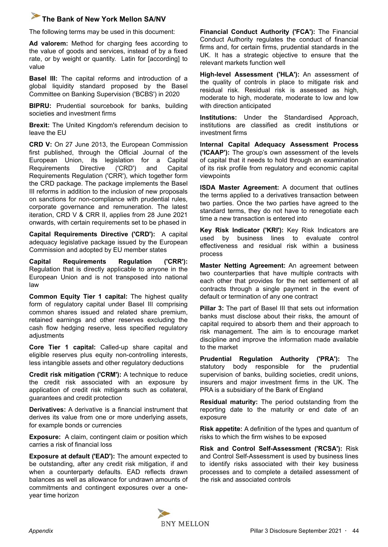The following terms may be used in this document:

**Ad valorem:** Method for charging fees according to the value of goods and services, instead of by a fixed rate, or by weight or quantity. Latin for [according] to value

**Basel III:** The capital reforms and introduction of a global liquidity standard proposed by the Basel Committee on Banking Supervision ('BCBS') in 2020

**BIPRU:** Prudential sourcebook for banks, building societies and investment firms

**Brexit:** The United Kingdom's referendum decision to leave the EU

**CRD V:** On 27 June 2013, the European Commission first published, through the Official Journal of the European Union, its legislation for a Capital Requirements Directive ('CRD') and Capital Requirements Regulation ('CRR'), which together form the CRD package. The package implements the Basel III reforms in addition to the inclusion of new proposals on sanctions for non-compliance with prudential rules, corporate governance and remuneration. The latest iteration, CRD V & CRR II, applies from 28 June 2021 onwards, with certain requirements set to be phased in

**Capital Requirements Directive ('CRD'):** A capital adequacy legislative package issued by the European Commission and adopted by EU member states

**Capital Requirements Regulation ('CRR'):** Regulation that is directly applicable to anyone in the European Union and is not transposed into national law

**Common Equity Tier 1 capital:** The highest quality form of regulatory capital under Basel III comprising common shares issued and related share premium, retained earnings and other reserves excluding the cash flow hedging reserve, less specified regulatory adjustments

**Core Tier 1 capital:** Called-up share capital and eligible reserves plus equity non-controlling interests, less intangible assets and other regulatory deductions

**Credit risk mitigation ('CRM'):** A technique to reduce the credit risk associated with an exposure by application of credit risk mitigants such as collateral, guarantees and credit protection

**Derivatives:** A derivative is a financial instrument that derives its value from one or more underlying assets, for example bonds or currencies

**Exposure:** A claim, contingent claim or position which carries a risk of financial loss

**Exposure at default ('EAD'):** The amount expected to be outstanding, after any credit risk mitigation, if and when a counterparty defaults. EAD reflects drawn balances as well as allowance for undrawn amounts of commitments and contingent exposures over a oneyear time horizon

**Financial Conduct Authority ('FCA'):** The Financial Conduct Authority regulates the conduct of financial firms and, for certain firms, prudential standards in the UK. It has a strategic objective to ensure that the relevant markets function well

**High-level Assessment ('HLA'):** An assessment of the quality of controls in place to mitigate risk and residual risk. Residual risk is assessed as high, moderate to high, moderate, moderate to low and low with direction anticipated

**Institutions:** Under the Standardised Approach, institutions are classified as credit institutions or investment firms

**Internal Capital Adequacy Assessment Process ('ICAAP'):** The group's own assessment of the levels of capital that it needs to hold through an examination of its risk profile from regulatory and economic capital viewpoints

**ISDA Master Agreement:** A document that outlines the terms applied to a derivatives transaction between two parties. Once the two parties have agreed to the standard terms, they do not have to renegotiate each time a new transaction is entered into

**Key Risk Indicator ('KRI'):** Key Risk Indicators are used by business lines to evaluate control effectiveness and residual risk within a business process

**Master Netting Agreement:** An agreement between two counterparties that have multiple contracts with each other that provides for the net settlement of all contracts through a single payment in the event of default or termination of any one contract

**Pillar 3:** The part of Basel III that sets out information banks must disclose about their risks, the amount of capital required to absorb them and their approach to risk management. The aim is to encourage market discipline and improve the information made available to the market

**Prudential Regulation Authority ('PRA'):** The statutory body responsible for the prudential supervision of banks, building societies, credit unions, insurers and major investment firms in the UK. The PRA is a subsidiary of the Bank of England

**Residual maturity:** The period outstanding from the reporting date to the maturity or end date of an exposure

**Risk appetite:** A definition of the types and quantum of risks to which the firm wishes to be exposed

**Risk and Control Self-Assessment ('RCSA'):** Risk and Control Self-Assessment is used by business lines to identify risks associated with their key business processes and to complete a detailed assessment of the risk and associated controls

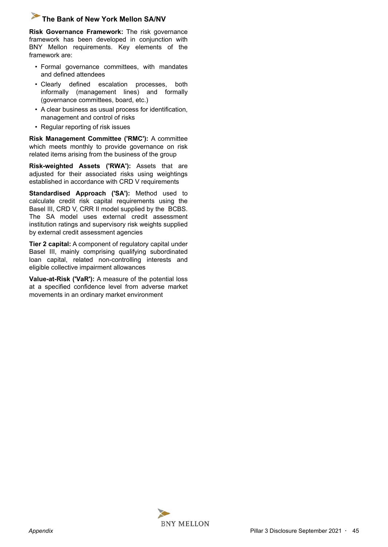**Risk Governance Framework:** The risk governance framework has been developed in conjunction with BNY Mellon requirements. Key elements of the framework are:

- Formal governance committees, with mandates and defined attendees
- Clearly defined escalation processes, both informally (management lines) and formally (governance committees, board, etc.)
- A clear business as usual process for identification, management and control of risks
- Regular reporting of risk issues

**Risk Management Committee ('RMC'):** A committee which meets monthly to provide governance on risk related items arising from the business of the group

**Risk-weighted Assets ('RWA'):** Assets that are adjusted for their associated risks using weightings established in accordance with CRD V requirements

**Standardised Approach ('SA'):** Method used to calculate credit risk capital requirements using the Basel III, CRD V, CRR II model supplied by the BCBS. The SA model uses external credit assessment institution ratings and supervisory risk weights supplied by external credit assessment agencies

**Tier 2 capital:** A component of regulatory capital under Basel III, mainly comprising qualifying subordinated loan capital, related non-controlling interests and eligible collective impairment allowances

**Value-at-Risk ('VaR'):** A measure of the potential loss at a specified confidence level from adverse market movements in an ordinary market environment

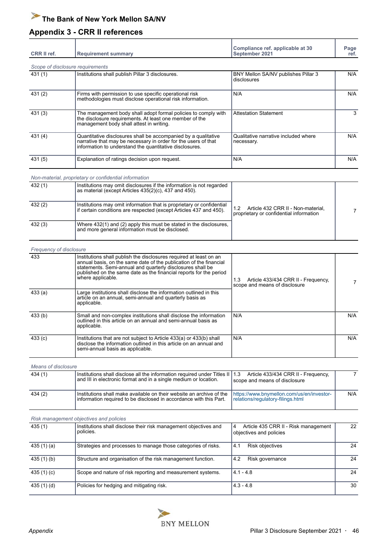#### <span id="page-45-0"></span>**Appendix 3 - CRR II references**

т

| <b>CRR II ref.</b> | <b>Requirement summary</b>                                                                                                                                                                  | Compliance ref. applicable at 30<br>September 2021 | Page<br>ref. |
|--------------------|---------------------------------------------------------------------------------------------------------------------------------------------------------------------------------------------|----------------------------------------------------|--------------|
|                    | Scope of disclosure requirements                                                                                                                                                            |                                                    |              |
| 431 (1)            | Institutions shall publish Pillar 3 disclosures.                                                                                                                                            | BNY Mellon SA/NV publishes Pillar 3<br>disclosures | N/A          |
| 431(2)             | Firms with permission to use specific operational risk<br>methodologies must disclose operational risk information.                                                                         | N/A                                                | N/A          |
| 431(3)             | The management body shall adopt formal policies to comply with<br>the disclosure requirements. At least one member of the<br>management body shall attest in writing.                       | <b>Attestation Statement</b>                       | 3            |
| 431(4)             | Quantitative disclosures shall be accompanied by a qualitative<br>narrative that may be necessary in order for the users of that<br>information to understand the quantitative disclosures. | Qualitative narrative included where<br>necessary. | N/A          |
| 431(5)             | Explanation of ratings decision upon request.                                                                                                                                               | N/A                                                | N/A          |

*Non-material, proprietary or confidential information*

| 432(1) | Institutions may omit disclosures if the information is not regarded<br>as material (except Articles 435(2)(c), 437 and 450).               |                                                                               |  |
|--------|---------------------------------------------------------------------------------------------------------------------------------------------|-------------------------------------------------------------------------------|--|
| 432(2) | Institutions may omit information that is proprietary or confidential<br>if certain conditions are respected (except Articles 437 and 450). | Article 432 CRR II - Non-material,<br>proprietary or confidential information |  |
| 432(3) | Where 432(1) and (2) apply this must be stated in the disclosures,<br>and more general information must be disclosed.                       |                                                                               |  |

| <b>Frequency of disclosure</b> |                                                                                                                                                                                                                                                                                                   |                                                                             |     |
|--------------------------------|---------------------------------------------------------------------------------------------------------------------------------------------------------------------------------------------------------------------------------------------------------------------------------------------------|-----------------------------------------------------------------------------|-----|
| 433                            | Institutions shall publish the disclosures required at least on an<br>annual basis, on the same date of the publication of the financial<br>statements. Semi-annual and quarterly disclosures shall be<br>published on the same date as the financial reports for the period<br>where applicable. | 1.3<br>Article 433/434 CRR II - Frequency,<br>scope and means of disclosure |     |
| 433(a)                         | Large institutions shall disclose the information outlined in this<br>article on an annual, semi-annual and quarterly basis as<br>applicable.                                                                                                                                                     |                                                                             |     |
| 433(b)                         | Small and non-complex institutions shall disclose the information<br>outlined in this article on an annual and semi-annual basis as<br>applicable.                                                                                                                                                | N/A                                                                         | N/A |
| 433(c)                         | Institutions that are not subject to Article 433(a) or 433(b) shall<br>disclose the information outlined in this article on an annual and<br>semi-annual basis as applicable.                                                                                                                     | N/A                                                                         | N/A |

*Means of disclosure* 434 (1) Institutions shall disclose all the information required under Titles II and III in electronic format and in a single medium or location. Article 433/434 CRR II - Frequency, scope and means of disclosure [7](#page-6-0) 434 (2) Institutions shall make available on their website an archive of the information required to be disclosed in accordance with this Part. https://www.bnymellon.com/us/en/investorrelations/regulatory-filings.html N/A

#### *Risk management objectives and policies*

| 435(1)       | Institutions shall disclose their risk management objectives and<br>policies. | Article 435 CRR II - Risk management<br>4<br>objectives and policies | 22 |
|--------------|-------------------------------------------------------------------------------|----------------------------------------------------------------------|----|
| 435 $(1)(a)$ | Strategies and processes to manage those categories of risks.                 | Risk objectives<br>4.1                                               | 24 |
| 435(1)(b)    | Structure and organisation of the risk management function.                   | 4.2<br>Risk governance                                               | 24 |
| 435 $(1)(c)$ | Scope and nature of risk reporting and measurement systems.                   | $4.1 - 4.8$                                                          | 24 |
| 435 (1) (d)  | Policies for hedging and mitigating risk.                                     | $4.3 - 4.8$                                                          | 30 |

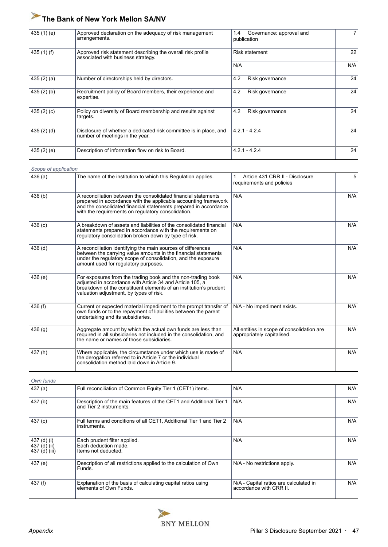| 435 $(1)$ $(e)$ | Approved declaration on the adequacy of risk management<br>arrangements.                             | $1.4^{\circ}$<br>Governance: approval and<br>publication | $\overline{7}$ |
|-----------------|------------------------------------------------------------------------------------------------------|----------------------------------------------------------|----------------|
| 435 $(1)$ $(f)$ | Approved risk statement describing the overall risk profile<br>associated with business strategy.    | <b>Risk statement</b>                                    | 22             |
|                 |                                                                                                      | N/A                                                      | N/A            |
| 435(2)(a)       | Number of directorships held by directors.                                                           | 4.2<br>Risk governance                                   | 24             |
| 435(2)(b)       | Recruitment policy of Board members, their experience and<br>expertise.                              | 4.2<br>Risk governance                                   | 24             |
| 435 $(2)$ $(c)$ | Policy on diversity of Board membership and results against<br>targets.                              | 4.2<br>Risk governance                                   | 24             |
| 435(2)(d)       | Disclosure of whether a dedicated risk committee is in place, and<br>number of meetings in the year. | $4.2.1 - 4.2.4$                                          | 24             |
| 435 $(2)$ $(e)$ | Description of information flow on risk to Board.                                                    | $4.2.1 - 4.2.4$                                          | 24             |

| Scope of application |                                                                                                                                                                                                                                                             |                                                                          |     |
|----------------------|-------------------------------------------------------------------------------------------------------------------------------------------------------------------------------------------------------------------------------------------------------------|--------------------------------------------------------------------------|-----|
| 436(a)               | The name of the institution to which this Regulation applies.                                                                                                                                                                                               | Article 431 CRR II - Disclosure<br>requirements and policies             | 5   |
| 436 (b)              | A reconciliation between the consolidated financial statements<br>prepared in accordance with the applicable accounting framework<br>and the consolidated financial statements prepared in accordance<br>with the requirements on requiatory consolidation. | N/A                                                                      | N/A |
| 436(c)               | A breakdown of assets and liabilities of the consolidated financial<br>statements prepared in accordance with the requirements on<br>regulatory consolidation broken down by type of risk.                                                                  | N/A                                                                      | N/A |
| $436$ (d)            | A reconciliation identifying the main sources of differences<br>between the carrying value amounts in the financial statements<br>under the regulatory scope of consolidation, and the exposure<br>amount used for regulatory purposes.                     | N/A                                                                      | N/A |
| 436(e)               | For exposures from the trading book and the non-trading book<br>adjusted in accordance with Article 34 and Article 105, a<br>breakdown of the constituent elements of an institution's prudent<br>valuation adjustment, by types of risk.                   | N/A                                                                      | N/A |
| 436 $(f)$            | Current or expected material impediment to the prompt transfer of<br>own funds or to the repayment of liabilities between the parent<br>undertaking and its subsidiaries.                                                                                   | N/A - No impediment exists.                                              | N/A |
| 436(g)               | Aggregate amount by which the actual own funds are less than<br>required in all subsidiaries not included in the consolidation, and<br>the name or names of those subsidiaries.                                                                             | All entities in scope of consolidation are<br>appropriately capitalised. | N/A |
| 437(h)               | Where applicable, the circumstance under which use is made of<br>the derogation referred to in Article 7 or the individual<br>consolidation method laid down in Article 9.                                                                                  | N/A                                                                      | N/A |

| Own funds |
|-----------|
|           |

| 437(a)                                       | Full reconciliation of Common Equity Tier 1 (CET1) items.                                     | N/A                                                               | N/A |
|----------------------------------------------|-----------------------------------------------------------------------------------------------|-------------------------------------------------------------------|-----|
| 437(b)                                       | Description of the main features of the CET1 and Additional Tier 1<br>and Tier 2 instruments. | N/A                                                               | N/A |
| 437 (c)                                      | Full terms and conditions of all CET1, Additional Tier 1 and Tier 2<br>instruments.           | N/A                                                               | N/A |
| 437 (d) (i)<br>437 (d) (ii)<br>437 (d) (iii) | Each prudent filter applied.<br>Each deduction made.<br>Items not deducted.                   | N/A                                                               | N/A |
| 437 (e)                                      | Description of all restrictions applied to the calculation of Own<br>Funds.                   | N/A - No restrictions apply.                                      | N/A |
| 437 (f)                                      | Explanation of the basis of calculating capital ratios using<br>elements of Own Funds.        | N/A - Capital ratios are calculated in<br>accordance with CRR II. | N/A |

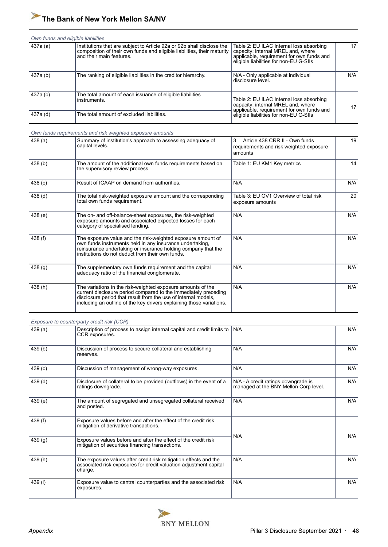#### *Own funds and eligible liabilities*

| 437a (a) | Institutions that are subject to Article 92a or 92b shall disclose the<br>composition of their own funds and eligible liabilities, their maturity<br>and their main features. | Table 2: EU ILAC Internal loss absorbing<br>capacity: internal MREL and, where<br>applicable, requirement for own funds and<br>eligible liabilities for non-EU G-SIIs | 17  |
|----------|-------------------------------------------------------------------------------------------------------------------------------------------------------------------------------|-----------------------------------------------------------------------------------------------------------------------------------------------------------------------|-----|
| 437a (b) | The ranking of eligible liabilities in the creditor hierarchy.                                                                                                                | N/A - Only applicable at individual<br>disclosure level.                                                                                                              | N/A |
| 437a (c) | The total amount of each issuance of eligible liabilities<br>instruments.                                                                                                     | Table 2: EU ILAC Internal loss absorbing<br>capacity: internal MREL and, where<br>applicable, requirement for own funds and                                           | 17  |
| 437a (d) | The total amount of excluded liabilities.                                                                                                                                     | eligible liabilities for non-EU G-SIIs                                                                                                                                |     |

#### *Own funds requirements and risk weighted exposure amounts*

| 438(a)             | Summary of institution's approach to assessing adequacy of<br>capital levels.                                                                                                                                                                                            | 3<br>Article 438 CRR II - Own funds<br>requirements and risk weighted exposure<br>amounts | 19  |
|--------------------|--------------------------------------------------------------------------------------------------------------------------------------------------------------------------------------------------------------------------------------------------------------------------|-------------------------------------------------------------------------------------------|-----|
| 438(b)             | The amount of the additional own funds requirements based on<br>the supervisory review process.                                                                                                                                                                          | Table 1: EU KM1 Key metrics                                                               | 14  |
| 438 <sub>(c)</sub> | Result of ICAAP on demand from authorities.                                                                                                                                                                                                                              | N/A                                                                                       | N/A |
| 438 <sub>(d)</sub> | The total risk-weighted exposure amount and the corresponding<br>total own funds requirement.                                                                                                                                                                            | Table 3: EU OV1 Overview of total risk<br>exposure amounts                                | 20  |
| 438(e)             | The on- and off-balance-sheet exposures, the risk-weighted<br>exposure amounts and associated expected losses for each<br>category of specialised lending.                                                                                                               | N/A                                                                                       | N/A |
| 438 $(f)$          | The exposure value and the risk-weighted exposure amount of<br>own funds instruments held in any insurance undertaking,<br>reinsurance undertaking or insurance holding company that the<br>institutions do not deduct from their own funds.                             | N/A                                                                                       | N/A |
| 438 (g)            | The supplementary own funds requirement and the capital<br>adequacy ratio of the financial conglomerate.                                                                                                                                                                 | N/A                                                                                       | N/A |
| 438 (h)            | The variations in the risk-weighted exposure amounts of the<br>current disclosure period compared to the immediately preceding<br>disclosure period that result from the use of internal models.<br>including an outline of the key drivers explaining those variations. | N/A                                                                                       | N/A |

#### *Exposure to counterparty credit risk (CCR)*

| 439(a)             | Description of process to assign internal capital and credit limits to  <br>CCR exposures.                                                       | N/A                                                                          | N/A |
|--------------------|--------------------------------------------------------------------------------------------------------------------------------------------------|------------------------------------------------------------------------------|-----|
| 439(b)             | Discussion of process to secure collateral and establishing<br>reserves.                                                                         | N/A                                                                          | N/A |
| 439(c)             | Discussion of management of wrong-way exposures.                                                                                                 | N/A                                                                          | N/A |
| 439 <sub>(d)</sub> | Disclosure of collateral to be provided (outflows) in the event of a<br>ratings downgrade.                                                       | N/A - A credit ratings downgrade is<br>managed at the BNY Mellon Corp level. | N/A |
| 439(e)             | The amount of segregated and unsegregated collateral received<br>and posted.                                                                     | N/A                                                                          | N/A |
| 439 (f)            | Exposure values before and after the effect of the credit risk<br>mitigation of derivative transactions.                                         |                                                                              |     |
| 439 (g)            | Exposure values before and after the effect of the credit risk<br>mitigation of securities financing transactions.                               | N/A                                                                          | N/A |
| 439(h)             | The exposure values after credit risk mitigation effects and the<br>associated risk exposures for credit valuation adjustment capital<br>charge. | N/A                                                                          | N/A |
| 439 (i)            | Exposure value to central counterparties and the associated risk<br>exposures.                                                                   | N/A                                                                          | N/A |

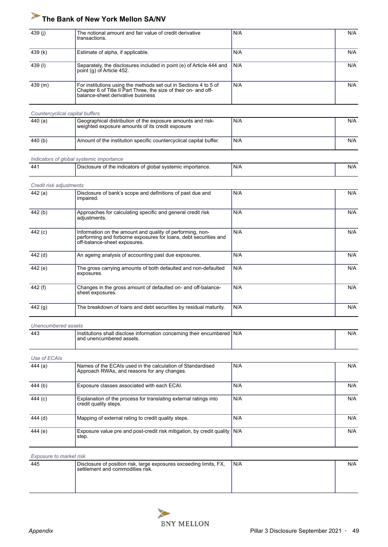| 439 (i) | The notional amount and fair value of credit derivative<br>transactions.                                                                                                  | N/A   | N/A |
|---------|---------------------------------------------------------------------------------------------------------------------------------------------------------------------------|-------|-----|
| 439 (k) | Estimate of alpha, if applicable.                                                                                                                                         | N/A   | N/A |
| 439(I)  | Separately, the disclosures included in point (e) of Article 444 and<br>point (q) of Article 452.                                                                         | I N/A | N/A |
| 439(m)  | For institutions using the methods set out in Sections 4 to 5 of<br>Chapter 6 of Title II Part Three, the size of their on- and off-<br>balance-sheet derivative business | N/A   | N/A |

| 440 $(a)$ | Geographical distribution of the exposure amounts and risk-<br>weighted exposure amounts of its credit exposure | I N/A | N/A |
|-----------|-----------------------------------------------------------------------------------------------------------------|-------|-----|
| 440 (b)   | Amount of the institution specific countercyclical capital buffer.                                              | l N/A | N/A |

|  |  | Indicators of global systemic importance |
|--|--|------------------------------------------|
|  |  |                                          |

| 44 <sup>4</sup> | -<br>svstemic<br>-----<br>⊧ importance.<br>ndicators of<br>dlobal<br><b>Disclosure</b><br>tne.<br>◡ | N/A | N/A |
|-----------------|-----------------------------------------------------------------------------------------------------|-----|-----|
|                 |                                                                                                     |     |     |

#### *Credit risk adjustments*

| 442(a)  | Disclosure of bank's scope and definitions of past due and<br>impaired.                                                                                       | N/A | N/A |
|---------|---------------------------------------------------------------------------------------------------------------------------------------------------------------|-----|-----|
| 442(b)  | Approaches for calculating specific and general credit risk<br>adjustments.                                                                                   | N/A | N/A |
| 442 (c) | Information on the amount and quality of performing, non-<br>performing and forborne exposures for loans, debt securities and<br>off-balance-sheet exposures. | N/A | N/A |
| 442 (d) | An ageing analysis of accounting past due exposures.                                                                                                          | N/A | N/A |
| 442 (e) | The gross carrying amounts of both defaulted and non-defaulted<br>exposures.                                                                                  | N/A | N/A |
| 442 (f) | Changes in the gross amount of defaulted on- and off-balance-<br>sheet exposures.                                                                             | N/A | N/A |
| 442(g)  | The breakdown of loans and debt securities by residual maturity.                                                                                              | N/A | N/A |

#### *Unencumbered assets*

|  | 443 | I Institutions shall disclose information concerning their encumbered   N/A |  | N/A |
|--|-----|-----------------------------------------------------------------------------|--|-----|
|  |     | I and unencumbered assets.                                                  |  |     |
|  |     |                                                                             |  |     |

| Use of ECAIs |                                                                                                           |     |     |
|--------------|-----------------------------------------------------------------------------------------------------------|-----|-----|
| 444 (a)      | Names of the ECAIs used in the calculation of Standardised<br>Approach RWAs, and reasons for any changes. | N/A | N/A |
| 444 (b)      | Exposure classes associated with each ECAI.                                                               | N/A | N/A |
| 444 (c)      | Explanation of the process for translating external ratings into<br>credit quality steps.                 | N/A | N/A |
| 444 (d)      | Mapping of external rating to credit quality steps.                                                       | N/A | N/A |
| 444 (e)      | Exposure value pre and post-credit risk mitigation, by credit quality   N/A<br>step.                      |     | N/A |

| Exposure to market risk |                                                                                                        |      |     |  |
|-------------------------|--------------------------------------------------------------------------------------------------------|------|-----|--|
| 445                     | Disclosure of position risk, large exposures exceeding limits, FX,<br>settlement and commodities risk. | IN/A | N/A |  |

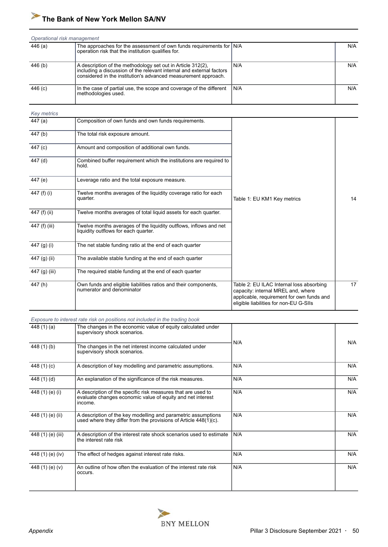|           | Operational risk management                                                                                                                                                                           |       |     |  |  |
|-----------|-------------------------------------------------------------------------------------------------------------------------------------------------------------------------------------------------------|-------|-----|--|--|
| 446 (a)   | The approaches for the assessment of own funds requirements for $N/A$<br>operation risk that the institution qualifies for.                                                                           |       | N/A |  |  |
| 446 (b)   | A description of the methodology set out in Article 312(2),<br>including a discussion of the relevant internal and external factors<br>considered in the institution's advanced measurement approach. | N/A   | N/A |  |  |
| 446 $(c)$ | In the case of partial use, the scope and coverage of the different<br>methodologies used.                                                                                                            | l N/A | N/A |  |  |

| <b>Key metrics</b> |                                                                                                           |                                                                                                                                                                       |    |
|--------------------|-----------------------------------------------------------------------------------------------------------|-----------------------------------------------------------------------------------------------------------------------------------------------------------------------|----|
| 447 (a)            | Composition of own funds and own funds requirements.                                                      |                                                                                                                                                                       |    |
| 447 (b)            | The total risk exposure amount.                                                                           |                                                                                                                                                                       |    |
| 447 (c)            | Amount and composition of additional own funds.                                                           |                                                                                                                                                                       |    |
| 447 (d)            | Combined buffer requirement which the institutions are required to<br>hold.                               |                                                                                                                                                                       |    |
| 447 (e)            | Leverage ratio and the total exposure measure.                                                            |                                                                                                                                                                       |    |
| 447 (f) (i)        | Twelve months averages of the liquidity coverage ratio for each<br>quarter.                               | Table 1: EU KM1 Key metrics                                                                                                                                           | 14 |
| 447 (f) (ii)       | Twelve months averages of total liquid assets for each quarter.                                           |                                                                                                                                                                       |    |
| 447 (f) (iii)      | Twelve months averages of the liquidity outflows, inflows and net<br>liquidity outflows for each quarter. |                                                                                                                                                                       |    |
| 447 (g) (i)        | The net stable funding ratio at the end of each quarter                                                   |                                                                                                                                                                       |    |
| 447 (g) (ii)       | The available stable funding at the end of each quarter                                                   |                                                                                                                                                                       |    |
| 447 (g) (iii)      | The required stable funding at the end of each quarter                                                    |                                                                                                                                                                       |    |
| 447(h)             | Own funds and eligible liabilities ratios and their components,<br>numerator and denominator              | Table 2: EU ILAC Internal loss absorbing<br>capacity: internal MREL and, where<br>applicable, requirement for own funds and<br>eligible liabilities for non-EU G-SIIs | 17 |

|  |  | Exposure to interest rate risk on positions not included in the trading book |
|--|--|------------------------------------------------------------------------------|
|  |  |                                                                              |

| 448 $(1)(a)$      | The changes in the economic value of equity calculated under<br>supervisory shock scenarios.                                          |     |     |
|-------------------|---------------------------------------------------------------------------------------------------------------------------------------|-----|-----|
| 448 (1) (b)       | The changes in the net interest income calculated under                                                                               | N/A | N/A |
|                   | supervisory shock scenarios.                                                                                                          |     |     |
| 448 (1) (c)       | A description of key modelling and parametric assumptions.                                                                            | N/A | N/A |
| 448 (1) (d)       | An explanation of the significance of the risk measures.                                                                              | N/A | N/A |
| 448 (1) (e) (i)   | A description of the specific risk measures that are used to<br>evaluate changes economic value of equity and net interest<br>income. | N/A | N/A |
| 448 (1) (e) (ii)  | A description of the key modelling and parametric assumptions<br>used where they differ from the provisions of Article $448(1)(c)$ .  | N/A | N/A |
| 448 (1) (e) (iii) | A description of the interest rate shock scenarios used to estimate<br>the interest rate risk                                         | N/A | N/A |
| 448 (1) (e) (iv)  | The effect of hedges against interest rate risks.                                                                                     | N/A | N/A |
| 448 (1) (e) (v)   | An outline of how often the evaluation of the interest rate risk<br>occurs.                                                           | N/A | N/A |

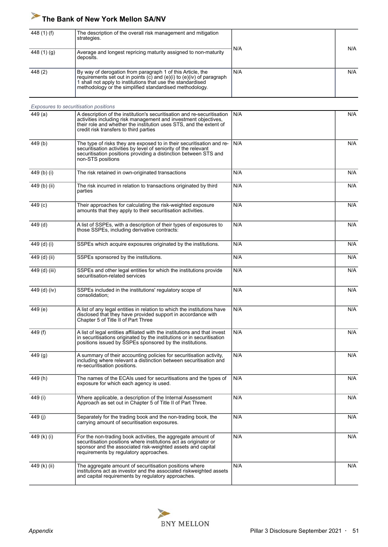| 448 (1) (f)   | The description of the overall risk management and mitigation<br>strategies.                                                                                                                                                                                        |     |     |
|---------------|---------------------------------------------------------------------------------------------------------------------------------------------------------------------------------------------------------------------------------------------------------------------|-----|-----|
| 448 $(1)(g)$  | Average and longest repricing maturity assigned to non-maturity<br>deposits.                                                                                                                                                                                        | N/A | N/A |
| 448 (2)       | By way of derogation from paragraph 1 of this Article, the<br>requirements set out in points $(c)$ and $(e)(i)$ to $(e)(iv)$ of paragraph<br>1 shall not apply to institutions that use the standardised<br>methodology or the simplified standardised methodology. | N/A | N/A |
|               | Exposures to securitisation positions                                                                                                                                                                                                                               |     |     |
| 449 (a)       | A description of the institution's securitisation and re-securitisation<br>activities including risk management and investment objectives,<br>their role and whether the institution uses STS, and the extent of<br>credit risk transfers to third parties          | N/A | N/A |
| 449(b)        | The type of risks they are exposed to in their securitisation and re-<br>securitisation activities by level of seniority of the relevant<br>securitisation positions providing a distinction between STS and<br>non-STS positions                                   | N/A | N/A |
| 449 (b) (i)   | The risk retained in own-originated transactions                                                                                                                                                                                                                    | N/A | N/A |
| 449 (b) (ii)  | The risk incurred in relation to transactions originated by third<br>parties                                                                                                                                                                                        | N/A | N/A |
| 449 (c)       | Their approaches for calculating the risk-weighted exposure<br>amounts that they apply to their securitisation activities.                                                                                                                                          | N/A | N/A |
| 449 (d)       | A list of SSPEs, with a description of their types of exposures to<br>those SSPEs, including derivative contracts:                                                                                                                                                  | N/A | N/A |
| 449 (d) (i)   | SSPEs which acquire exposures originated by the institutions.                                                                                                                                                                                                       | N/A | N/A |
| 449 (d) (ii)  | SSPEs sponsored by the institutions.                                                                                                                                                                                                                                | N/A | N/A |
| 449 (d) (iii) | SSPEs and other legal entities for which the institutions provide<br>securitisation-related services                                                                                                                                                                | N/A | N/A |
| 449 (d) (iv)  | SSPEs included in the institutions' regulatory scope of<br>consolidation;                                                                                                                                                                                           | N/A | N/A |
| 449 (e)       | A list of any legal entities in relation to which the institutions have<br>disclosed that they have provided support in accordance with<br>Chapter 5 of Title II of Part Three                                                                                      | N/A | N/A |
| 449 (f)       | A list of legal entities affiliated with the institutions and that invest<br>in securitisations originated by the institutions or in securitisation<br>positions issued by SSPEs sponsored by the institutions.                                                     | N/A | N/A |
| 449 (g)       | A summary of their accounting policies for securitisation activity,<br>including where relevant a distinction between securitisation and<br>re-securitisation positions.                                                                                            | N/A | N/A |
| 449(h)        | The names of the ECAIs used for securitisations and the types of<br>exposure for which each agency is used.                                                                                                                                                         | N/A | N/A |
| 449 (i)       | Where applicable, a description of the Internal Assessment<br>Approach as set out in Chapter 5 of Title II of Part Three.                                                                                                                                           | N/A | N/A |
| 449 (i)       | Separately for the trading book and the non-trading book, the<br>carrying amount of securitisation exposures.                                                                                                                                                       | N/A | N/A |
| 449 (k) (i)   | For the non-trading book activities, the aggregate amount of<br>securitisation positions where institutions act as originator or<br>sponsor and the associated risk-weighted assets and capital<br>requirements by regulatory approaches.                           | N/A | N/A |
| 449 (k) (ii)  | The aggregate amount of securitisation positions where<br>institutions act as investor and the associated riskweighted assets<br>and capital requirements by regulatory approaches.                                                                                 | N/A | N/A |

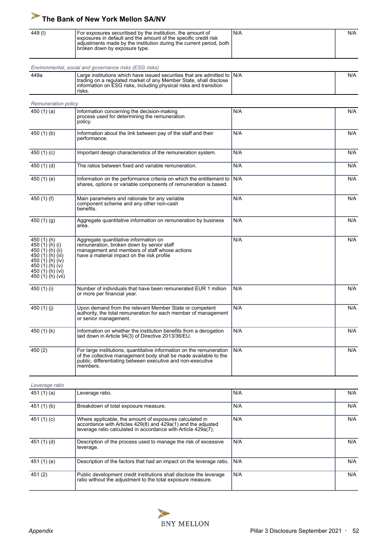| 449 (l) | For exposures securitised by the institution, the amount of<br>l exposures in default and the amount of the specific credit risk<br>adjustments made by the institution during the current period, both  <br>  broken down by exposure type. | `N/A | N/A |
|---------|----------------------------------------------------------------------------------------------------------------------------------------------------------------------------------------------------------------------------------------------|------|-----|
|         |                                                                                                                                                                                                                                              |      |     |

| Environmental, social and governance risks (ESG risks) |                                                                                                                                                                                                                                                  |  |     |  |
|--------------------------------------------------------|--------------------------------------------------------------------------------------------------------------------------------------------------------------------------------------------------------------------------------------------------|--|-----|--|
| 449a                                                   | Large institutions which have issued securities that are admitted to $\mathsf{IN}\mathsf{A}$<br>trading on a regulated market of any Member State, shall disclose<br>Information on ESG risks, including physical risks and transition<br>risks. |  | N/A |  |

| <b>Remuneration policy</b>                                                                                                                                      |                                                                                                                                                                                                                     |     |     |
|-----------------------------------------------------------------------------------------------------------------------------------------------------------------|---------------------------------------------------------------------------------------------------------------------------------------------------------------------------------------------------------------------|-----|-----|
| 450 $(1)(a)$                                                                                                                                                    | Information concerning the decision-making<br>process used for determining the remuneration<br>policy.                                                                                                              | N/A | N/A |
| 450 $(1)$ $(b)$                                                                                                                                                 | Information about the link between pay of the staff and their<br>performance.                                                                                                                                       | N/A | N/A |
| 450 $(1)(c)$                                                                                                                                                    | Important design characteristics of the remuneration system.                                                                                                                                                        | N/A | N/A |
| 450 $(1)(d)$                                                                                                                                                    | The ratios between fixed and variable remuneration.                                                                                                                                                                 | N/A | N/A |
| 450 (1) (e)                                                                                                                                                     | Information on the performance criteria on which the entitlement to<br>shares, options or variable components of remuneration is based.                                                                             | N/A | N/A |
| 450 (1) (f)                                                                                                                                                     | Main parameters and rationale for any variable<br>component scheme and any other non-cash<br>benefits.                                                                                                              | N/A | N/A |
| 450 $(1)(g)$                                                                                                                                                    | Aggregate quantitative information on remuneration by business<br>area.                                                                                                                                             | N/A | N/A |
| 450 (1) (h)<br>450 (1) (h) (i)<br>450 (1) (h) (ii)<br>450 (1) (h) (iii)<br>450 (1) (h) (iv)<br>450 $(1)$ $(h)$ $(v)$<br>450 $(1)(h)(vi)$<br>450 $(1)$ (h) (vii) | Aggregate quantitative information on<br>remuneration, broken down by senior staff<br>management and members of staff whose actions<br>have a material impact on the risk profile                                   | N/A | N/A |
| 450 (1) (i)                                                                                                                                                     | Number of individuals that have been remunerated EUR 1 million<br>or more per financial year.                                                                                                                       | N/A | N/A |
| 450 $(1)(j)$                                                                                                                                                    | Upon demand from the relevant Member State or competent<br>authority, the total remuneration for each member of management<br>or senior management.                                                                 | N/A | N/A |
| 450 $(1)(k)$                                                                                                                                                    | Information on whether the institution benefits from a derogation<br>laid down in Article 94(3) of Directive 2013/36/EU.                                                                                            | N/A | N/A |
| 450(2)                                                                                                                                                          | For large institutions, quantitative information on the remuneration<br>of the collective management body shall be made available to the<br>public, differentiating between executive and non-executive<br>members. | N/A | N/A |

| Leverage ratio |                                                                                                                                                                                          |     |     |
|----------------|------------------------------------------------------------------------------------------------------------------------------------------------------------------------------------------|-----|-----|
| 451 (1) (a)    | Leverage ratio.                                                                                                                                                                          | N/A | N/A |
| 451 (1) (b)    | Breakdown of total exposure measure.                                                                                                                                                     | N/A | N/A |
| 451 (1) (c)    | Where applicable, the amount of exposures calculated in<br>accordance with Articles 429(8) and 429a(1) and the adjusted<br>leverage ratio calculated in accordance with Article 429a(7); | N/A | N/A |
| 451 (1) (d)    | Description of the process used to manage the risk of excessive<br>leverage.                                                                                                             | N/A | N/A |
| 451 (1) (e)    | Description of the factors that had an impact on the leverage ratio.                                                                                                                     | N/A | N/A |
| 451 (2)        | Public development credit institutions shall disclose the leverage<br>ratio without the adjustment to the total exposure measure.                                                        | N/A | N/A |

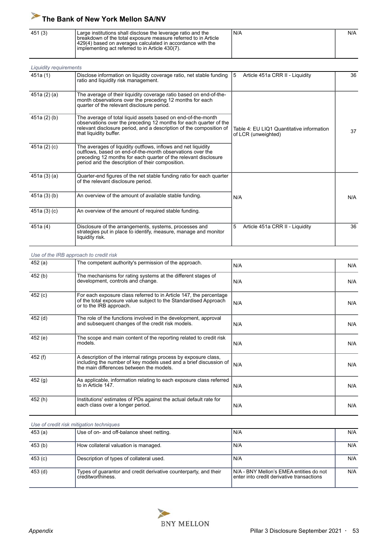| 451 (3) | Large institutions shall disclose the leverage ratio and the<br>I breakdown of the total exposure measure referred to in Article<br>1429(4) based on averages calculated in accordance with the<br>l implementing act referred to in Article 430(7). | N/A | N/A |
|---------|------------------------------------------------------------------------------------------------------------------------------------------------------------------------------------------------------------------------------------------------------|-----|-----|
|         |                                                                                                                                                                                                                                                      |     |     |

| <b>Liquidity requirements</b> |                                                                                                                                                                                                                                                   |                                                                  |     |
|-------------------------------|---------------------------------------------------------------------------------------------------------------------------------------------------------------------------------------------------------------------------------------------------|------------------------------------------------------------------|-----|
| 451a (1)                      | Disclose information on liquidity coverage ratio, net stable funding<br>ratio and liquidity risk management.                                                                                                                                      | Article 451a CRR II - Liquidity<br>5                             | 36  |
| 451a (2) (a)                  | The average of their liquidity coverage ratio based on end-of-the-<br>month observations over the preceding 12 months for each<br>quarter of the relevant disclosure period.                                                                      |                                                                  |     |
| 451a (2) (b)                  | The average of total liquid assets based on end-of-the-month<br>observations over the preceding 12 months for each quarter of the<br>relevant disclosure period, and a description of the composition of<br>that liquidity buffer.                | Table 4: EU LIQ1 Quantitative information<br>of LCR (unweighted) | 37  |
| 451a (2) (c)                  | The averages of liquidity outflows, inflows and net liquidity<br>outflows, based on end-of-the-month observations over the<br>preceding 12 months for each quarter of the relevant disclosure<br>period and the description of their composition. |                                                                  |     |
| 451a (3) (a)                  | Quarter-end figures of the net stable funding ratio for each quarter<br>of the relevant disclosure period.                                                                                                                                        |                                                                  |     |
| 451a (3) (b)                  | An overview of the amount of available stable funding.                                                                                                                                                                                            | N/A                                                              | N/A |
| 451a (3) (c)                  | An overview of the amount of required stable funding.                                                                                                                                                                                             |                                                                  |     |
| 451a (4)                      | Disclosure of the arrangements, systems, processes and<br>strategies put in place to identify, measure, manage and monitor<br>liquidity risk.                                                                                                     | 5<br>Article 451a CRR II - Liquidity                             | 36  |

#### *Use of the IRB approach to credit risk*

| 452 (a) | The competent authority's permission of the approach.                                                                                                                             | N/A | N/A |
|---------|-----------------------------------------------------------------------------------------------------------------------------------------------------------------------------------|-----|-----|
| 452(b)  | The mechanisms for rating systems at the different stages of<br>development, controls and change.                                                                                 | N/A | N/A |
| 452(c)  | For each exposure class referred to in Article 147, the percentage<br>of the total exposure value subject to the Standardised Approach<br>or to the IRB approach.                 | N/A | N/A |
| 452 (d) | The role of the functions involved in the development, approval<br>and subsequent changes of the credit risk models.                                                              | N/A | N/A |
| 452 (e) | The scope and main content of the reporting related to credit risk<br>models.                                                                                                     | N/A | N/A |
| 452 (f) | A description of the internal ratings process by exposure class,<br>including the number of key models used and a brief discussion of<br>the main differences between the models. | N/A | N/A |
| 452 (g) | As applicable, information relating to each exposure class referred<br>to in Article 147.                                                                                         | N/A | N/A |
| 452(h)  | Institutions' estimates of PDs against the actual default rate for<br>each class over a longer period.                                                                            | N/A | N/A |

*Use of credit risk mitigation techniques*

| 453(a)             | Use of on- and off-balance sheet netting.                                             | N/A                                                                                  | N/A |
|--------------------|---------------------------------------------------------------------------------------|--------------------------------------------------------------------------------------|-----|
| 453 (b)            | How collateral valuation is managed.                                                  | N/A                                                                                  | N/A |
| 453(c)             | Description of types of collateral used.                                              | N/A                                                                                  | N/A |
| 453 <sub>(d)</sub> | Types of guarantor and credit derivative counterparty, and their<br>creditworthiness. | N/A - BNY Mellon's EMEA entities do not<br>enter into credit derivative transactions | N/A |

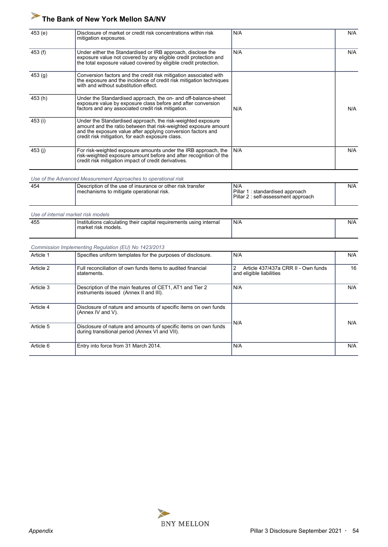| 453(e)  | Disclosure of market or credit risk concentrations within risk<br>mitigation exposures.                                                                                                                                                            | N/A | N/A |
|---------|----------------------------------------------------------------------------------------------------------------------------------------------------------------------------------------------------------------------------------------------------|-----|-----|
| 453 (f) | Under either the Standardised or IRB approach, disclose the<br>exposure value not covered by any eligible credit protection and<br>the total exposure valued covered by eligible credit protection.                                                | N/A | N/A |
| 453(g)  | Conversion factors and the credit risk mitigation associated with<br>the exposure and the incidence of credit risk mitigation techniques<br>with and without substitution effect.                                                                  |     |     |
| 453 (h) | Under the Standardised approach, the on- and off-balance-sheet<br>exposure value by exposure class before and after conversion<br>factors and any associated credit risk mitigation.                                                               | N/A | N/A |
| 453 (i) | Under the Standardised approach, the risk-weighted exposure<br>amount and the ratio between that risk-weighted exposure amount<br>and the exposure value after applying conversion factors and<br>credit risk mitigation, for each exposure class. |     |     |
| 453 (i) | For risk-weighted exposure amounts under the IRB approach, the<br>risk-weighted exposure amount before and after recognition of the<br>credit risk mitigation impact of credit derivatives.                                                        | N/A | N/A |

*Use of the Advanced Measurement Approaches to operational risk*

| 454 | Description of the use of insurance or other risk transfer | N/A                                                                          | N/A |
|-----|------------------------------------------------------------|------------------------------------------------------------------------------|-----|
|     | mechanisms to mitigate operational risk.                   | Pillar 1<br>1 : standardised approach<br>Pillar 2 : self-assessment approach |     |

*Use of internal market risk models*

|  | Institutions calculating their capital requirements using internal<br>l market risk models. | 'N/A | N/A |
|--|---------------------------------------------------------------------------------------------|------|-----|
|  |                                                                                             |      |     |

#### *Commission Implementing Regulation (EU) No 1423/2013*

| Article 1 | Specifies uniform templates for the purposes of disclosure.                                                       | N/A                                                                  | N/A |
|-----------|-------------------------------------------------------------------------------------------------------------------|----------------------------------------------------------------------|-----|
| Article 2 | Full reconciliation of own funds items to audited financial<br>statements.                                        | 2<br>Article 437/437a CRR II - Own funds<br>and eligible liabilities | 16  |
| Article 3 | Description of the main features of CET1, AT1 and Tier 2<br>instruments issued (Annex II and III).                | N/A                                                                  | N/A |
| Article 4 | Disclosure of nature and amounts of specific items on own funds<br>(Annex IV and $V$ ).                           |                                                                      | N/A |
| Article 5 | Disclosure of nature and amounts of specific items on own funds<br>during transitional period (Annex VI and VII). | N/A                                                                  |     |
| Article 6 | Entry into force from 31 March 2014.                                                                              | N/A                                                                  | N/A |